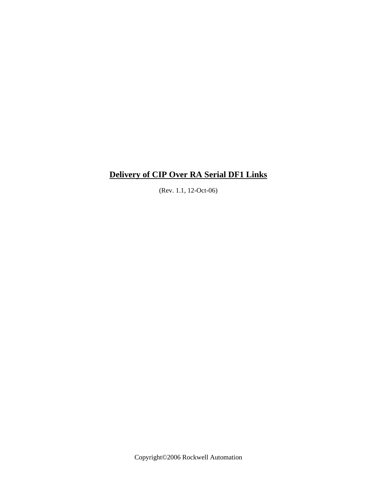(Rev. 1.1, 12-Oct-06)

Copyright©2006 Rockwell Automation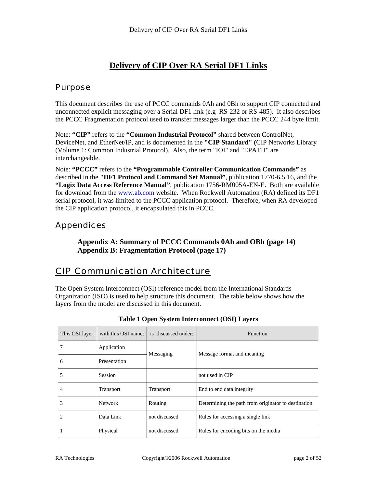# Purpose

This document describes the use of PCCC commands 0Ah and 0Bh to support CIP connected and unconnected explicit messaging over a Serial DF1 link (e.g RS-232 or RS-485). It also describes the PCCC Fragmentation protocol used to transfer messages larger than the PCCC 244 byte limit.

Note: **"CIP"** refers to the **"Common Industrial Protocol"** shared between ControlNet, DeviceNet, and EtherNet/IP, and is documented in the **"CIP Standard" (**CIP Networks Library (Volume 1: Common Industrial Protocol). Also, the term "IOI" and "EPATH" are interchangeable.

Note: **"PCCC"** refers to the **"Programmable Controller Communication Commands"** as described in the **"DF1 Protocol and Command Set Manual"**, publication 1770-6.5.16, and the **"Logix Data Access Reference Manual"**, publication 1756-RM005A-EN-E. Both are available for download from the [www.ab.com](http://www.ab.com/) website. When Rockwell Automation (RA) defined its DF1 serial protocol, it was limited to the PCCC application protocol. Therefore, when RA developed the CIP application protocol, it encapsulated this in PCCC.

# Appendices

**Appendix A: Summary of PCCC Commands 0Ah and OBh (page 14) Appendix B: Fragmentation Protocol (page 17)**

# CIP Communication Architecture

The Open System Interconnect (OSI) reference model from the International Standards Organization (ISO) is used to help structure this document. The table below shows how the layers from the model are discussed in this document.

| This OSI layer: | with this OSI name: | is discussed under: | <b>Function</b>                                     |  |
|-----------------|---------------------|---------------------|-----------------------------------------------------|--|
|                 | Application         | Messaging           | Message format and meaning                          |  |
| 6               | Presentation        |                     |                                                     |  |
|                 | <b>Session</b>      |                     | not used in CIP                                     |  |
| 4               | Transport           | Transport           | End to end data integrity                           |  |
| 3               | <b>Network</b>      | Routing             | Determining the path from originator to destination |  |
|                 | Data Link           | not discussed       | Rules for accessing a single link                   |  |
|                 | Physical            | not discussed       | Rules for encoding bits on the media                |  |

**Table 1 Open System Interconnect (OSI) Layers**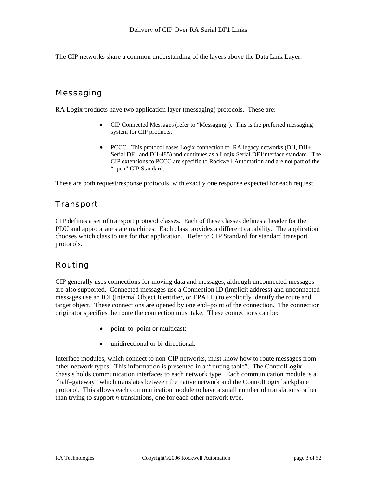The CIP networks share a common understanding of the layers above the Data Link Layer.

# Messaging

RA Logix products have two application layer (messaging) protocols. These are:

- CIP Connected Messages (refer to "Messaging"). This is the preferred messaging system for CIP products.
- PCCC. This protocol eases Logix connection to RA legacy networks (DH, DH+, Serial DF1 and DH-485) and continues as a Logix Serial DF1interface standard. The CIP extensions to PCCC are specific to Rockwell Automation and are not part of the "open" CIP Standard.

These are both request/response protocols, with exactly one response expected for each request.

# Transport

CIP defines a set of transport protocol classes. Each of these classes defines a header for the PDU and appropriate state machines. Each class provides a different capability. The application chooses which class to use for that application. Refer to CIP Standard for standard transport protocols.

# Routing

CIP generally uses connections for moving data and messages, although unconnected messages are also supported. Connected messages use a Connection ID (implicit address) and unconnected messages use an IOI (Internal Object Identifier, or EPATH) to explicitly identify the route and target object. These connections are opened by one end–point of the connection. The connection originator specifies the route the connection must take. These connections can be:

- point–to–point or multicast;
- unidirectional or bi-directional.

Interface modules, which connect to non-CIP networks, must know how to route messages from other network types. This information is presented in a "routing table". The ControlLogix chassis holds communication interfaces to each network type. Each communication module is a "half–gateway" which translates between the native network and the ControlLogix backplane protocol. This allows each communication module to have a small number of translations rather than trying to support *n* translations, one for each other network type.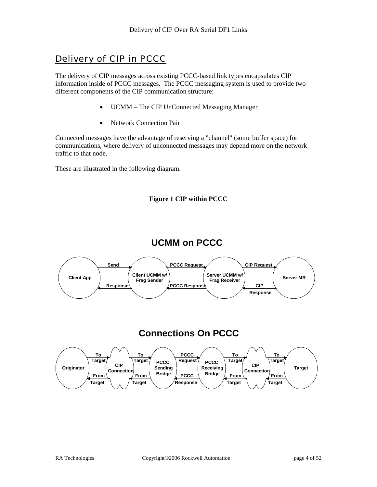# Delivery of CIP in PCCC

The delivery of CIP messages across existing PCCC-based link types encapsulates CIP information inside of PCCC messages. The PCCC messaging system is used to provide two different components of the CIP communication structure:

- UCMM The CIP UnConnected Messaging Manager
- Network Connection Pair

Connected messages have the advantage of reserving a "channel" (some buffer space) for communications, where delivery of unconnected messages may depend more on the network traffic to that node.

These are illustrated in the following diagram.







# **Connections On PCCC**

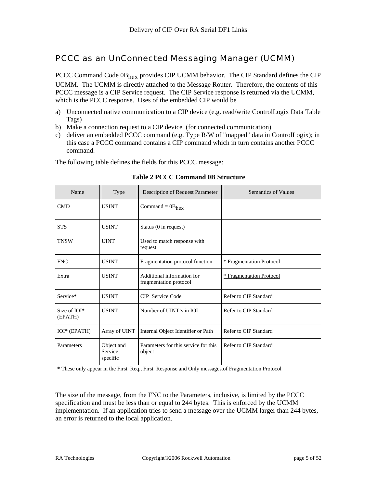# PCCC as an UnConnected Messaging Manager (UCMM)

PCCC Command Code 0Bhex provides CIP UCMM behavior. The CIP Standard defines the CIP UCMM. The UCMM is directly attached to the Message Router. Therefore, the contents of this PCCC message is a CIP Service request. The CIP Service response is returned via the UCMM, which is the PCCC response. Uses of the embedded CIP would be

- a) Unconnected native communication to a CIP device (e.g. read/write ControlLogix Data Table Tags)
- b) Make a connection request to a CIP device (for connected communication)
- c) deliver an embedded PCCC command (e.g. Type R/W of "mapped" data in ControlLogix); in this case a PCCC command contains a CIP command which in turn contains another PCCC command.

The following table defines the fields for this PCCC message:

| Name                                                                                              | Type                              | Description of Request Parameter                     | <b>Semantics of Values</b>      |  |
|---------------------------------------------------------------------------------------------------|-----------------------------------|------------------------------------------------------|---------------------------------|--|
| <b>CMD</b>                                                                                        | <b>USINT</b>                      | Command = $0B_{hex}$                                 |                                 |  |
| <b>STS</b>                                                                                        | <b>USINT</b>                      | Status (0 in request)                                |                                 |  |
| <b>TNSW</b>                                                                                       | <b>UINT</b>                       | Used to match response with<br>request               |                                 |  |
| <b>FNC</b>                                                                                        | <b>USINT</b>                      | Fragmentation protocol function                      | <u>* Fragmentation Protocol</u> |  |
| Extra                                                                                             | <b>USINT</b>                      | Additional information for<br>fragmentation protocol | <b>* Fragmentation Protocol</b> |  |
| Service*                                                                                          | <b>USINT</b>                      | <b>CIP</b> Service Code                              | Refer to CIP Standard           |  |
| Size of IOI*<br>(EPATH)                                                                           | <b>USINT</b>                      | Number of UINT's in IOI                              | Refer to CIP Standard           |  |
| IOI* (EPATH)                                                                                      | Array of UINT                     | Internal Object Identifier or Path                   | Refer to CIP Standard           |  |
| Parameters                                                                                        | Object and<br>Service<br>specific | Parameters for this service for this<br>object       | Refer to CIP Standard           |  |
| * These only appear in the First_Req., First_Response and Only messages of Fragmentation Protocol |                                   |                                                      |                                 |  |

#### **Table 2 PCCC Command 0B Structure**

The size of the message, from the FNC to the Parameters, inclusive, is limited by the PCCC specification and must be less than or equal to 244 bytes. This is enforced by the UCMM implementation. If an application tries to send a message over the UCMM larger than 244 bytes, an error is returned to the local application.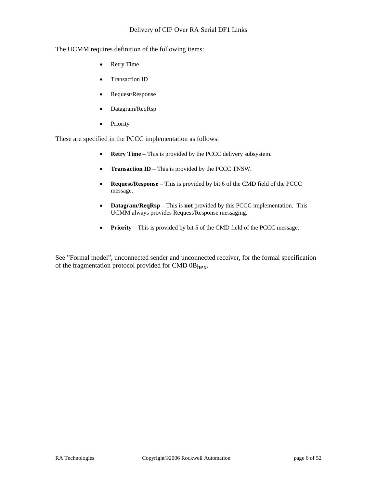The UCMM requires definition of the following items:

- Retry Time
- Transaction ID
- Request/Response
- Datagram/ReqRsp
- Priority

These are specified in the PCCC implementation as follows:

- **Retry Time** This is provided by the PCCC delivery subsystem.
- **Transaction ID** This is provided by the PCCC TNSW.
- **Request/Response** This is provided by bit 6 of the CMD field of the PCCC message.
- **Datagram/ReqRsp** This is **not** provided by this PCCC implementation. This UCMM always provides Request/Response messaging.
- **Priority** This is provided by bit 5 of the CMD field of the PCCC message.

See "Formal model", unconnected sender and unconnected receiver, for the formal specification of the fragmentation protocol provided for CMD 0Bhex.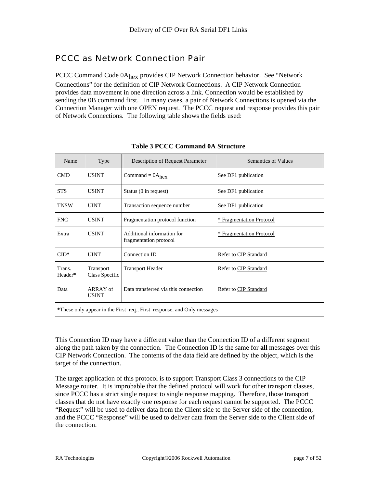# PCCC as Network Connection Pair

PCCC Command Code 0A<sub>hex</sub> provides CIP Network Connection behavior. See "Network Connections" for the definition of CIP Network Connections. A CIP Network Connection provides data movement in one direction across a link. Connection would be established by sending the 0B command first. In many cases, a pair of Network Connections is opened via the Connection Manager with one OPEN request. The PCCC request and response provides this pair of Network Connections. The following table shows the fields used:

| Name                                                                    | Type                        | Description of Request Parameter                     | <b>Semantics of Values</b> |  |
|-------------------------------------------------------------------------|-----------------------------|------------------------------------------------------|----------------------------|--|
| <b>CMD</b>                                                              | <b>USINT</b>                | Command = $0A_{hex}$                                 | See DF1 publication        |  |
| <b>STS</b>                                                              | <b>USINT</b>                | Status (0 in request)                                | See DF1 publication        |  |
| <b>TNSW</b>                                                             | <b>UINT</b>                 | Transaction sequence number                          | See DF1 publication        |  |
| <b>FNC</b>                                                              | <b>USINT</b>                | Fragmentation protocol function                      | * Fragmentation Protocol   |  |
| Extra                                                                   | <b>USINT</b>                | Additional information for<br>fragmentation protocol | * Fragmentation Protocol   |  |
| $CID*$                                                                  | <b>UINT</b>                 | Connection ID                                        | Refer to CIP Standard      |  |
| Trans.<br>Header*                                                       | Transport<br>Class Specific | <b>Transport Header</b>                              | Refer to CIP Standard      |  |
| Data                                                                    | ARRAY of<br><b>USINT</b>    | Data transferred via this connection                 | Refer to CIP Standard      |  |
| *These only appear in the First_req., First_response, and Only messages |                             |                                                      |                            |  |

#### **Table 3 PCCC Command 0A Structure**

This Connection ID may have a different value than the Connection ID of a different segment along the path taken by the connection. The Connection ID is the same for **all** messages over this CIP Network Connection. The contents of the data field are defined by the object, which is the target of the connection.

The target application of this protocol is to support Transport Class 3 connections to the CIP Message router. It is improbable that the defined protocol will work for other transport classes, since PCCC has a strict single request to single response mapping. Therefore, those transport classes that do not have exactly one response for each request cannot be supported. The PCCC "Request" will be used to deliver data from the Client side to the Server side of the connection, and the PCCC "Response" will be used to deliver data from the Server side to the Client side of the connection.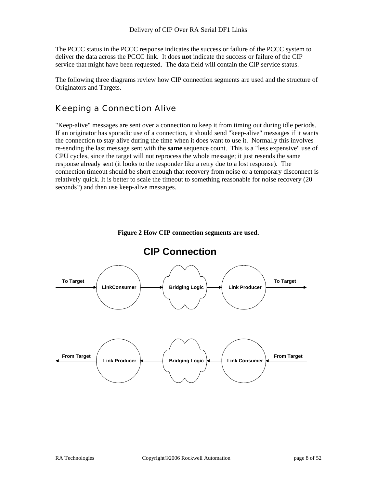The PCCC status in the PCCC response indicates the success or failure of the PCCC system to deliver the data across the PCCC link. It does **not** indicate the success or failure of the CIP service that might have been requested. The data field will contain the CIP service status.

The following three diagrams review how CIP connection segments are used and the structure of Originators and Targets.

# Keeping a Connection Alive

"Keep-alive" messages are sent over a connection to keep it from timing out during idle periods. If an originator has sporadic use of a connection, it should send "keep-alive" messages if it wants the connection to stay alive during the time when it does want to use it. Normally this involves re-sending the last message sent with the **same** sequence count. This is a "less expensive" use of CPU cycles, since the target will not reprocess the whole message; it just resends the same response already sent (it looks to the responder like a retry due to a lost response). The connection timeout should be short enough that recovery from noise or a temporary disconnect is relatively quick. It is better to scale the timeout to something reasonable for noise recovery (20 seconds?) and then use keep-alive messages.



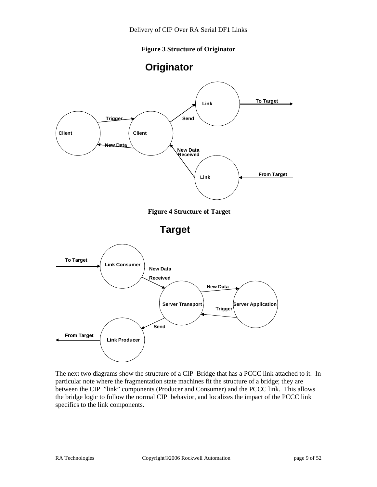**Figure 3 Structure of Originator** 





The next two diagrams show the structure of a CIP Bridge that has a PCCC link attached to it. In particular note where the fragmentation state machines fit the structure of a bridge; they are between the CIP "link" components (Producer and Consumer) and the PCCC link. This allows the bridge logic to follow the normal CIP behavior, and localizes the impact of the PCCC link specifics to the link components.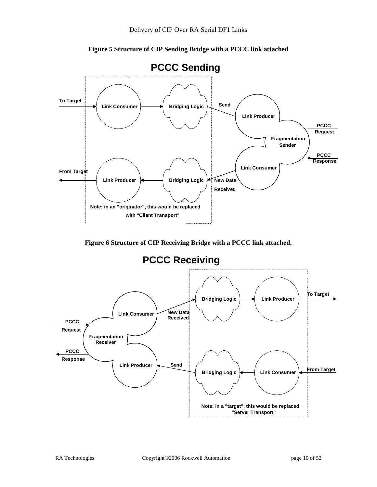

**Figure 5 Structure of CIP Sending Bridge with a PCCC link attached** 

**Figure 6 Structure of CIP Receiving Bridge with a PCCC link attached.** 

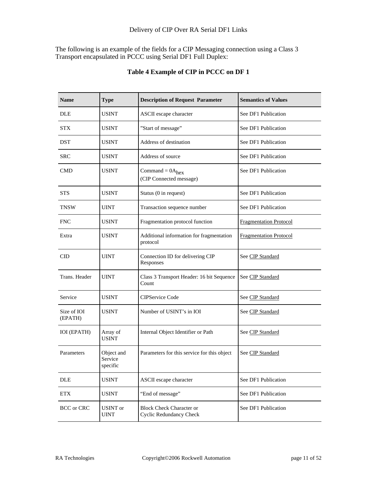The following is an example of the fields for a CIP Messaging connection using a Class 3 Transport encapsulated in PCCC using Serial DF1 Full Duplex:

| <b>Name</b>            | <b>Type</b>                       | <b>Description of Request Parameter</b>                    | <b>Semantics of Values</b>    |
|------------------------|-----------------------------------|------------------------------------------------------------|-------------------------------|
| <b>DLE</b>             | <b>USINT</b>                      | ASCII escape character                                     | See DF1 Publication           |
| <b>STX</b>             | <b>USINT</b>                      | "Start of message"                                         | See DF1 Publication           |
| <b>DST</b>             | <b>USINT</b>                      | Address of destination                                     | See DF1 Publication           |
| <b>SRC</b>             | <b>USINT</b>                      | Address of source                                          | See DF1 Publication           |
| <b>CMD</b>             | <b>USINT</b>                      | Command = $0A_{hex}$<br>(CIP Connected message)            | See DF1 Publication           |
| <b>STS</b>             | <b>USINT</b>                      | Status (0 in request)                                      | See DF1 Publication           |
| <b>TNSW</b>            | <b>UINT</b>                       | Transaction sequence number                                | See DF1 Publication           |
| <b>FNC</b>             | <b>USINT</b>                      | Fragmentation protocol function                            | <b>Fragmentation Protocol</b> |
| Extra                  | <b>USINT</b>                      | Additional information for fragmentation<br>protocol       | <b>Fragmentation Protocol</b> |
| <b>CID</b>             | <b>UINT</b>                       | Connection ID for delivering CIP<br>Responses              | See CIP Standard              |
| Trans. Header          | <b>UINT</b>                       | Class 3 Transport Header: 16 bit Sequence<br>Count         | See CIP Standard              |
| Service                | <b>USINT</b>                      | <b>CIPService Code</b>                                     | See CIP Standard              |
| Size of IOI<br>(EPATH) | <b>USINT</b>                      | Number of USINT's in IOI                                   | See CIP Standard              |
| IOI (EPATH)            | Array of<br><b>USINT</b>          | Internal Object Identifier or Path                         | See CIP Standard              |
| Parameters             | Object and<br>Service<br>specific | Parameters for this service for this object                | See CIP Standard              |
| DLE                    | <b>USINT</b>                      | ASCII escape character                                     | See DF1 Publication           |
| <b>ETX</b>             | <b>USINT</b>                      | "End of message"                                           | See DF1 Publication           |
| <b>BCC</b> or CRC      | <b>USINT</b> or<br><b>UINT</b>    | <b>Block Check Character or</b><br>Cyclic Redundancy Check | See DF1 Publication           |

## **Table 4 Example of CIP in PCCC on DF 1**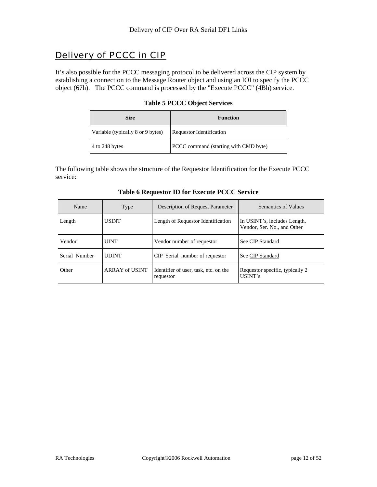# Delivery of PCCC in CIP

It's also possible for the PCCC messaging protocol to be delivered across the CIP system by establishing a connection to the Message Router object and using an IOI to specify the PCCC object (67h). The PCCC command is processed by the "Execute PCCC" (4Bh) service.

 $\mathcal{L}$ 

|  | <b>Table 5 PCCC Object Services</b> |
|--|-------------------------------------|
|--|-------------------------------------|

| <b>Size</b>                       | <b>Function</b>                       |
|-----------------------------------|---------------------------------------|
| Variable (typically 8 or 9 bytes) | Requestor Identification              |
| 4 to 248 bytes                    | PCCC command (starting with CMD byte) |

The following table shows the structure of the Requestor Identification for the Execute PCCC service:

| Name          | Type           | Description of Request Parameter                   | Semantics of Values                                         |
|---------------|----------------|----------------------------------------------------|-------------------------------------------------------------|
| Length        | <b>USINT</b>   | Length of Requestor Identification                 | In USINT's, includes Length,<br>Vendor, Ser. No., and Other |
| Vendor        | <b>UINT</b>    | Vendor number of requestor                         | See CIP Standard                                            |
| Serial Number | <b>UDINT</b>   | CIP Serial number of requestor                     | See CIP Standard                                            |
| Other         | ARRAY of USINT | Identifier of user, task, etc. on the<br>requestor | Requestor specific, typically 2<br>USINT's                  |

| <b>Table 6 Requestor ID for Execute PCCC Service</b> |  |  |  |  |
|------------------------------------------------------|--|--|--|--|
|------------------------------------------------------|--|--|--|--|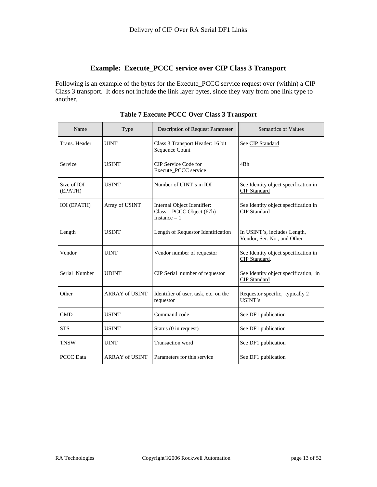## **Example: Execute\_PCCC service over CIP Class 3 Transport**

Following is an example of the bytes for the Execute\_PCCC service request over (within) a CIP Class 3 transport. It does not include the link layer bytes, since they vary from one link type to another.

| Name                   | Type                  | Description of Request Parameter                                             | Semantics of Values                                          |
|------------------------|-----------------------|------------------------------------------------------------------------------|--------------------------------------------------------------|
| Trans. Header          | <b>UINT</b>           | Class 3 Transport Header: 16 bit<br>Sequence Count                           | See CIP Standard                                             |
| Service                | <b>USINT</b>          | CIP Service Code for<br>Execute_PCCC service                                 | 4 <sub>Bh</sub>                                              |
| Size of IOI<br>(EPATH) | <b>USINT</b>          | Number of UINT's in IOI                                                      | See Identity object specification in<br>CIP Standard         |
| <b>IOI</b> (EPATH)     | Array of USINT        | Internal Object Identifier:<br>$Class = PCCC Object (67h)$<br>Instance $= 1$ | See Identity object specification in<br><b>CIP</b> Standard  |
| Length                 | <b>USINT</b>          | Length of Requestor Identification                                           | In USINT's, includes Length,<br>Vendor, Ser. No., and Other  |
| Vendor                 | <b>UINT</b>           | Vendor number of requestor                                                   | See Identity object specification in<br>CIP Standard.        |
| Serial Number          | <b>UDINT</b>          | CIP Serial number of requestor                                               | See Identity object specification, in<br><b>CIP</b> Standard |
| Other                  | <b>ARRAY of USINT</b> | Identifier of user, task, etc. on the<br>requestor                           | Requestor specific, typically 2<br>USINT's                   |
| CMD                    | <b>USINT</b>          | Command code                                                                 | See DF1 publication                                          |
| <b>STS</b>             | <b>USINT</b>          | Status (0 in request)                                                        | See DF1 publication                                          |
| <b>TNSW</b>            | <b>UINT</b>           | <b>Transaction</b> word                                                      | See DF1 publication                                          |
| <b>PCCC</b> Data       | <b>ARRAY of USINT</b> | Parameters for this service                                                  | See DF1 publication                                          |

**Table 7 Execute PCCC Over Class 3 Transport**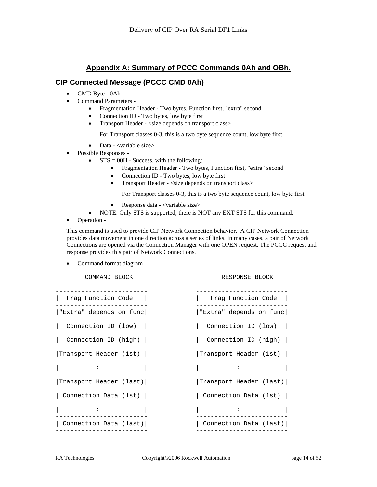## **Appendix A: Summary of PCCC Commands 0Ah and OBh.**

#### **CIP Connected Message (PCCC CMD 0Ah)**

- CMD Byte 0Ah
- Command Parameters
	- Fragmentation Header Two bytes, Function first, "extra" second
	- Connection ID Two bytes, low byte first
	- Transport Header <size depends on transport class>

For Transport classes 0-3, this is a two byte sequence count, low byte first.

- Data <variable size>
- Possible Responses
	- $STS = 00H$  Success, with the following:
		- Fragmentation Header Two bytes, Function first, "extra" second
		- Connection ID Two bytes, low byte first
		- Transport Header <size depends on transport class>

For Transport classes 0-3, this is a two byte sequence count, low byte first.

- Response data <variable size>
- NOTE: Only STS is supported; there is NOT any EXT STS for this command.
- Operation -

This command is used to provide CIP Network Connection behavior. A CIP Network Connection provides data movement in one direction across a series of links. In many cases, a pair of Network Connections are opened via the Connection Manager with one OPEN request. The PCCC request and response provides this pair of Network Connections.

• Command format diagram

COMMAND BLOCK RESPONSE BLOCK

| Frag Function Code      | Frag Function Code      |
|-------------------------|-------------------------|
| "Extra" depends on func | "Extra" depends on func |
| Connection ID (low)     | Connection ID (low)     |
| Connection ID (high)    | Connection ID $(high)$  |
| Transport Header (1st)  | Transport Header (1st)  |
|                         |                         |
| Transport Header (last) | Transport Header (last) |
| Connection Data (1st)   | Connection Data (1st)   |
|                         |                         |
| Connection Data (last)  | Connection Data (last)  |
|                         |                         |

| Frag Function Code      | Frag Function Code      |
|-------------------------|-------------------------|
| "Extra" depends on func | "Extra" depends on func |
| Connection ID (low)     | Connection ID (low)     |
| Connection ID (high)    | Connection ID (high)    |
| Transport Header (1st)  | Transport Header (1st)  |
|                         |                         |
| Transport Header (last) | Transport Header (last) |
| Connection Data (1st)   | Connection Data (1st)   |
|                         |                         |
| Connection Data (last)  | Connection Data (last)  |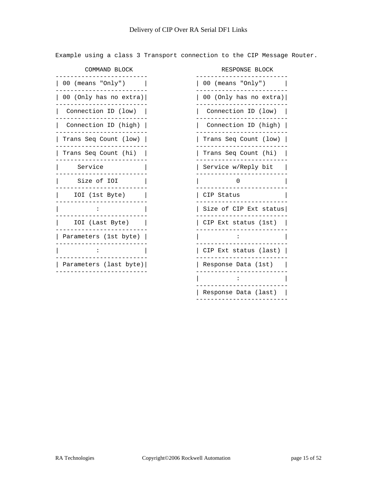Example using a class 3 Transport connection to the CIP Message Router.

------------------------- ------------------------- | 00 (means "Only") | | 00 (means "Only") | ------------------------- ------------------------- | 00 (Only has no extra)| | 00 (Only has no extra)| | Connection ID (low) | | Connection ID (low) | | Connection ID (high) | | Connection ID (high) | | Trans Seq Count (low) | | | | | | | | Trans Seq Count (low) | | Trans Seq Count (hi) | | Trans Seq Count (hi) | ------------------------- ------------------------- | Service | | Service w/Reply bit | ------------------------- ------------------------- Size of IOI | | | 0 | IOI (1st Byte) | | CIP Status | ------------------------- ------------------------- ------------------------- ------------------------- | Parameters (1st byte) | | : | ------------------------- ------------------------- ------------------------- ------------------------- | Parameters (last byte)| | Response Data (1st) | ------------------------- -------------------------

COMMAND BLOCK **RESPONSE BLOCK** ------------------------- ------------------------- ------------------------- ------------------------- ------------------------- ------------------------- ------------------------- ------------------------- ------------------------- ------------------------- | : | | Size of CIP Ext status| | IOI (Last Byte) | | CIP Ext status (1st) | ------------------------- ------------------------- | CIP Ext status (last)  $|$  | : | ------------------------- | Response Data (last) | -------------------------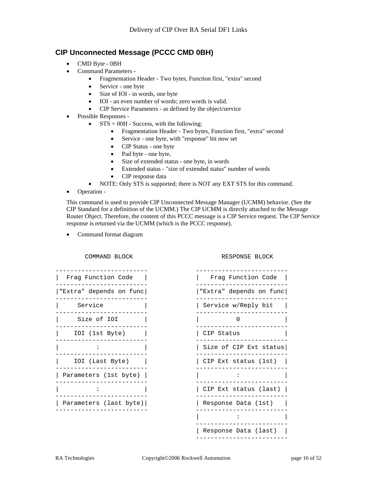## **CIP Unconnected Message (PCCC CMD 0BH)**

- CMD Byte 0BH
- Command Parameters
	- Fragmentation Header Two bytes, Function first, "extra" second
	- Service one byte
	- Size of IOI in words, one byte
	- IOI an even number of words; zero words is valid.
	- CIP Service Parameters as defined by the object/service
- Possible Responses
	- $STS = 00H Success$ , with the following:
		- Fragmentation Header Two bytes, Function first, "extra" second
		- Service one byte, with "response" bit now set
		- CIP Status one byte
		- Pad byte one byte,
		- Size of extended status one byte, in words
		- Extended status "size of extended status" number of words
		- CIP response data
		- NOTE: Only STS is supported; there is NOT any EXT STS for this command.
- Operation -

This command is used to provide CIP Unconnected Message Manager (UCMM) behavior. (See the CIP Standard for a definition of the UCMM.) The CIP UCMM is directly attached to the Message Router Object. Therefore, the content of this PCCC message is a CIP Service request. The CIP Service response is returned via the UCMM (which is the PCCC response).

• Command format diagram

COMMAND BLOCK RESPONSE BLOCK



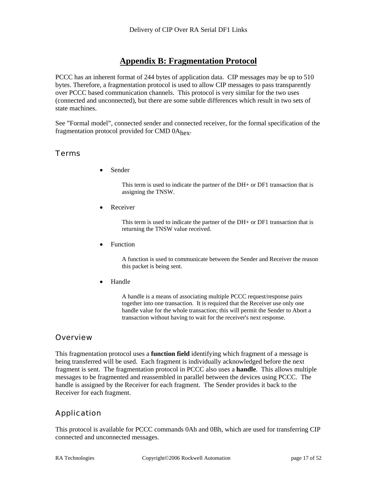# **Appendix B: Fragmentation Protocol**

PCCC has an inherent format of 244 bytes of application data. CIP messages may be up to 510 bytes. Therefore, a fragmentation protocol is used to allow CIP messages to pass transparently over PCCC based communication channels. This protocol is very similar for the two uses (connected and unconnected), but there are some subtle differences which result in two sets of state machines.

See "Formal model", connected sender and connected receiver, for the formal specification of the fragmentation protocol provided for CMD 0A<sub>hex</sub>.

## Terms

• Sender

This term is used to indicate the partner of the DH+ or DF1 transaction that is assigning the TNSW.

**Receiver** 

This term is used to indicate the partner of the DH+ or DF1 transaction that is returning the TNSW value received.

• Function

A function is used to communicate between the Sender and Receiver the reason this packet is being sent.

• Handle

A handle is a means of associating multiple PCCC request/response pairs together into one transaction. It is required that the Receiver use only one handle value for the whole transaction; this will permit the Sender to Abort a transaction without having to wait for the receiver's next response.

#### **Overview**

This fragmentation protocol uses a **function field** identifying which fragment of a message is being transferred will be used. Each fragment is individually acknowledged before the next fragment is sent. The fragmentation protocol in PCCC also uses a **handle**. This allows multiple messages to be fragmented and reassembled in parallel between the devices using PCCC. The handle is assigned by the Receiver for each fragment. The Sender provides it back to the Receiver for each fragment.

# Application

This protocol is available for PCCC commands 0Ah and 0Bh, which are used for transferring CIP connected and unconnected messages.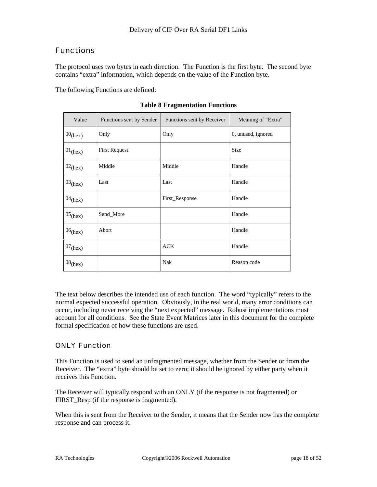# **Functions**

The protocol uses two bytes in each direction. The Function is the first byte. The second byte contains "extra" information, which depends on the value of the Function byte.

The following Functions are defined:

| Value      | Functions sent by Sender | Functions sent by Receiver | Meaning of "Extra" |
|------------|--------------------------|----------------------------|--------------------|
| $00$ (hex) | Only                     | Only                       | 0, unused, ignored |
| $01$ (hex) | <b>First Request</b>     |                            | <b>Size</b>        |
| $02$ (hex) | Middle                   | Middle                     | Handle             |
| $03$ (hex) | Last                     | Last                       | Handle             |
| $04$ (hex) |                          | First_Response             | Handle             |
| $05$ (hex) | Send_More                |                            | Handle             |
| $06$ (hex) | Abort                    |                            | Handle             |
| $07$ (hex) |                          | <b>ACK</b>                 | Handle             |
| $08$ (hex) |                          | Nak                        | Reason code        |

**Table 8 Fragmentation Functions**

The text below describes the intended use of each function. The word "typically" refers to the normal expected successful operation. Obviously, in the real world, many error conditions can occur, including never receiving the "next expected" message. Robust implementations must account for all conditions. See the State Event Matrices later in this document for the complete formal specification of how these functions are used.

## ONLY Function

This Function is used to send an unfragmented message, whether from the Sender or from the Receiver. The "extra" byte should be set to zero; it should be ignored by either party when it receives this Function.

The Receiver will typically respond with an ONLY (if the response is not fragmented) or FIRST\_Resp (if the response is fragmented).

When this is sent from the Receiver to the Sender, it means that the Sender now has the complete response and can process it.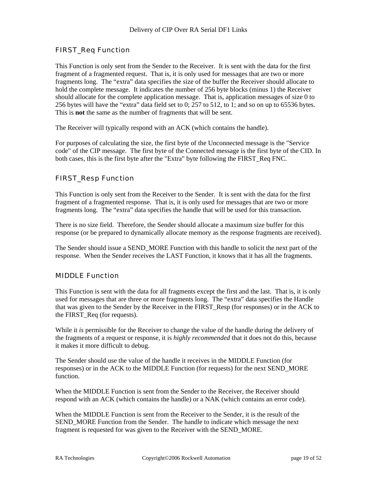## FIRST\_Req Function

This Function is only sent from the Sender to the Receiver. It is sent with the data for the first fragment of a fragmented request. That is, it is only used for messages that are two or more fragments long. The "extra" data specifies the size of the buffer the Receiver should allocate to hold the complete message. It indicates the number of 256 byte blocks (minus 1) the Receiver should allocate for the complete application message. That is, application messages of size 0 to 256 bytes will have the "extra" data field set to 0; 257 to 512, to 1; and so on up to 65536 bytes. This is **not** the same as the number of fragments that will be sent.

The Receiver will typically respond with an ACK (which contains the handle).

For purposes of calculating the size, the first byte of the Unconnected message is the "Service code" of the CIP message. The first byte of the Connected message is the first byte of the CID. In both cases, this is the first byte after the "Extra" byte following the FIRST\_Req FNC.

#### FIRST\_Resp Function

This Function is only sent from the Receiver to the Sender. It is sent with the data for the first fragment of a fragmented response. That is, it is only used for messages that are two or more fragments long. The "extra" data specifies the handle that will be used for this transaction.

There is no size field. Therefore, the Sender should allocate a maximum size buffer for this response (or be prepared to dynamically allocate memory as the response fragments are received).

The Sender should issue a SEND MORE Function with this handle to solicit the next part of the response. When the Sender receives the LAST Function, it knows that it has all the fragments.

#### MIDDLE Function

This Function is sent with the data for all fragments except the first and the last. That is, it is only used for messages that are three or more fragments long. The "extra" data specifies the Handle that was given to the Sender by the Receiver in the FIRST\_Resp (for responses) or in the ACK to the FIRST\_Req (for requests).

While it *is* permissible for the Receiver to change the value of the handle during the delivery of the fragments of a request or response, it is *highly recommended* that it does not do this, because it makes it more difficult to debug.

The Sender should use the value of the handle it receives in the MIDDLE Function (for responses) or in the ACK to the MIDDLE Function (for requests) for the next SEND\_MORE function.

When the MIDDLE Function is sent from the Sender to the Receiver, the Receiver should respond with an ACK (which contains the handle) or a NAK (which contains an error code).

When the MIDDLE Function is sent from the Receiver to the Sender, it is the result of the SEND\_MORE Function from the Sender. The handle to indicate which message the next fragment is requested for was given to the Receiver with the SEND\_MORE.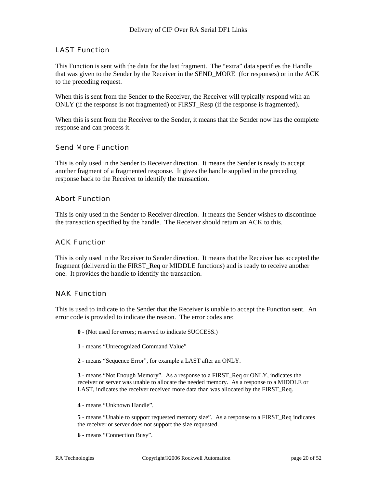#### LAST Function

This Function is sent with the data for the last fragment. The "extra" data specifies the Handle that was given to the Sender by the Receiver in the SEND\_MORE (for responses) or in the ACK to the preceding request.

When this is sent from the Sender to the Receiver, the Receiver will typically respond with an ONLY (if the response is not fragmented) or FIRST\_Resp (if the response is fragmented).

When this is sent from the Receiver to the Sender, it means that the Sender now has the complete response and can process it.

#### Send More Function

This is only used in the Sender to Receiver direction. It means the Sender is ready to accept another fragment of a fragmented response. It gives the handle supplied in the preceding response back to the Receiver to identify the transaction.

#### Abort Function

This is only used in the Sender to Receiver direction. It means the Sender wishes to discontinue the transaction specified by the handle. The Receiver should return an ACK to this.

#### ACK Function

This is only used in the Receiver to Sender direction. It means that the Receiver has accepted the fragment (delivered in the FIRST\_Req or MIDDLE functions) and is ready to receive another one. It provides the handle to identify the transaction.

#### NAK Function

This is used to indicate to the Sender that the Receiver is unable to accept the Function sent. An error code is provided to indicate the reason. The error codes are:

- **0**  (Not used for errors; reserved to indicate SUCCESS.)
- **1**  means "Unrecognized Command Value"
- **2**  means "Sequence Error", for example a LAST after an ONLY.

**3** - means "Not Enough Memory". As a response to a FIRST\_Req or ONLY, indicates the receiver or server was unable to allocate the needed memory. As a response to a MIDDLE or LAST, indicates the receiver received more data than was allocated by the FIRST\_Req.

**4** - means "Unknown Handle".

**5** - means "Unable to support requested memory size". As a response to a FIRST\_Req indicates the receiver or server does not support the size requested.

**6** - means "Connection Busy".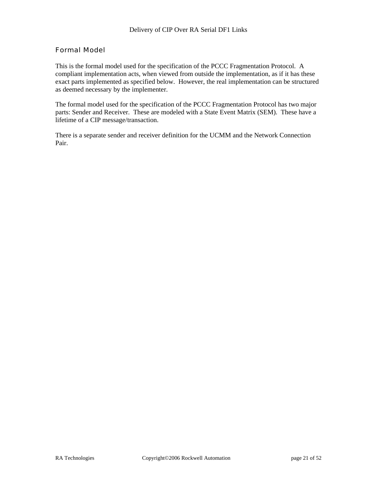## Formal Model

This is the formal model used for the specification of the PCCC Fragmentation Protocol. A compliant implementation acts, when viewed from outside the implementation, as if it has these exact parts implemented as specified below. However, the real implementation can be structured as deemed necessary by the implementer.

The formal model used for the specification of the PCCC Fragmentation Protocol has two major parts: Sender and Receiver. These are modeled with a State Event Matrix (SEM). These have a lifetime of a CIP message/transaction.

There is a separate sender and receiver definition for the UCMM and the Network Connection Pair.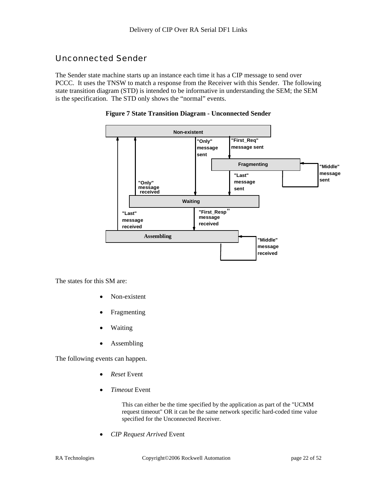# Unconnected Sender

The Sender state machine starts up an instance each time it has a CIP message to send over PCCC. It uses the TNSW to match a response from the Receiver with this Sender. The following state transition diagram (STD) is intended to be informative in understanding the SEM; the SEM is the specification. The STD only shows the "normal" events.





The states for this SM are:

- Non-existent
- **Fragmenting**
- Waiting
- Assembling

The following events can happen.

- *Reset* Event
- *Timeout* Event

This can either be the time specified by the application as part of the "UCMM request timeout" OR it can be the same network specific hard-coded time value specified for the Unconnected Receiver.

• *CIP Request Arrived* Event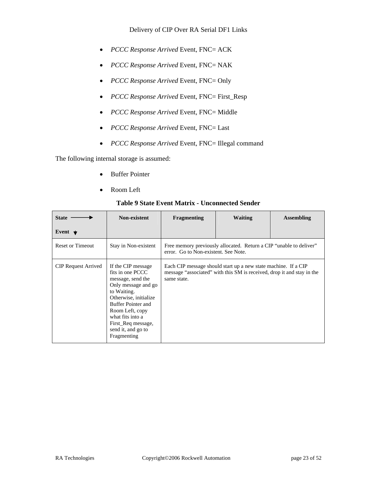- *PCCC Response Arrived* Event, FNC= ACK
- *PCCC Response Arrived* Event, FNC= NAK
- *PCCC Response Arrived* Event, FNC= Only
- *PCCC Response Arrived* Event, FNC= First\_Resp
- *PCCC Response Arrived* Event, FNC= Middle
- *PCCC Response Arrived* Event, FNC= Last
- *PCCC Response Arrived* Event, FNC= Illegal command

The following internal storage is assumed:

- Buffer Pointer
- Room Left

#### **State Event Non-existent Fragmenting Waiting Assembling**  Reset or Timeout Stay in Non-existent Free memory previously allocated. Return a CIP "unable to deliver" error. Go to Non-existent. See Note. CIP Request Arrived If the CIP message fits in one PCCC message, send the Only message and go to Waiting. Otherwise, initialize Buffer Pointer and Room Left, copy what fits into a First\_Req message, send it, and go to Fragmenting Each CIP message should start up a new state machine. If a CIP message "associated" with this SM is received, drop it and stay in the same state.

#### **Table 9 State Event Matrix - Unconnected Sender**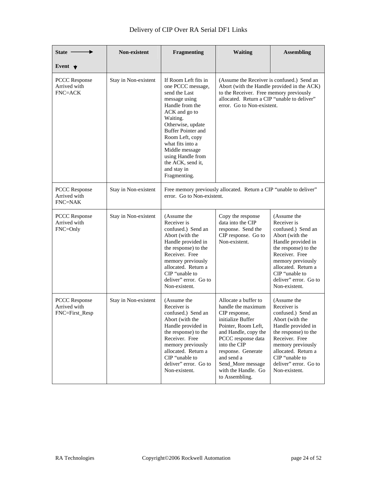| Delivery of CIP Over RA Serial DF1 Links |  |
|------------------------------------------|--|
|------------------------------------------|--|

| State -                                                | Non-existent         | <b>Fragmenting</b>                                                                                                                                                                                                                                                                                              | <b>Waiting</b>                                                                                                                                                                                                                                                          | <b>Assembling</b>                                                                                                                                                                                                                           |
|--------------------------------------------------------|----------------------|-----------------------------------------------------------------------------------------------------------------------------------------------------------------------------------------------------------------------------------------------------------------------------------------------------------------|-------------------------------------------------------------------------------------------------------------------------------------------------------------------------------------------------------------------------------------------------------------------------|---------------------------------------------------------------------------------------------------------------------------------------------------------------------------------------------------------------------------------------------|
| Event $\bigstar$                                       |                      |                                                                                                                                                                                                                                                                                                                 |                                                                                                                                                                                                                                                                         |                                                                                                                                                                                                                                             |
| <b>PCCC</b> Response<br>Arrived with<br><b>FNC=ACK</b> | Stay in Non-existent | If Room Left fits in<br>one PCCC message,<br>send the Last<br>message using<br>Handle from the<br>ACK and go to<br>Waiting.<br>Otherwise, update<br><b>Buffer Pointer and</b><br>Room Left, copy<br>what fits into a<br>Middle message<br>using Handle from<br>the ACK, send it,<br>and stay in<br>Fragmenting. | (Assume the Receiver is confused.) Send an<br>Abort (with the Handle provided in the ACK)<br>to the Receiver. Free memory previously<br>allocated. Return a CIP "unable to deliver"<br>error. Go to Non-existent.                                                       |                                                                                                                                                                                                                                             |
| <b>PCCC</b> Response<br>Arrived with<br><b>FNC=NAK</b> | Stay in Non-existent | error. Go to Non-existent.                                                                                                                                                                                                                                                                                      | Free memory previously allocated. Return a CIP "unable to deliver"                                                                                                                                                                                                      |                                                                                                                                                                                                                                             |
| <b>PCCC</b> Response<br>Arrived with<br>FNC=Only       | Stay in Non-existent | (Assume the<br>Receiver is<br>confused.) Send an<br>Abort (with the<br>Handle provided in<br>the response) to the<br>Receiver. Free<br>memory previously<br>allocated. Return a<br>CIP "unable to<br>deliver" error. Go to<br>Non-existent.                                                                     | Copy the response<br>data into the CIP<br>response. Send the<br>CIP response. Go to<br>Non-existent.                                                                                                                                                                    | (Assume the<br>Receiver is<br>confused.) Send an<br>Abort (with the<br>Handle provided in<br>the response) to the<br>Receiver. Free<br>memory previously<br>allocated. Return a<br>CIP "unable to<br>deliver" error. Go to<br>Non-existent. |
| <b>PCCC</b> Response<br>Arrived with<br>FNC=First_Resp | Stay in Non-existent | (Assume the<br>Receiver is<br>confused.) Send an<br>Abort (with the<br>Handle provided in<br>the response) to the<br>Receiver. Free<br>memory previously<br>allocated. Return a<br>CIP "unable to<br>deliver" error. Go to<br>Non-existent.                                                                     | Allocate a buffer to<br>handle the maximum<br>CIP response,<br>initialize Buffer<br>Pointer, Room Left,<br>and Handle, copy the<br>PCCC response data<br>into the CIP<br>response. Generate<br>and send a<br>Send_More message<br>with the Handle. Go<br>to Assembling. | (Assume the<br>Receiver is<br>confused.) Send an<br>Abort (with the<br>Handle provided in<br>the response) to the<br>Receiver. Free<br>memory previously<br>allocated. Return a<br>CIP "unable to<br>deliver" error. Go to<br>Non-existent. |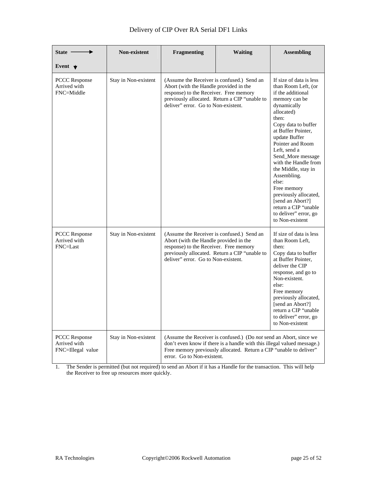| <b>State</b>                                              | Non-existent         | Fragmenting                                                                                                                                                                                                            | <b>Waiting</b>                                                                                                                                                                                                             | <b>Assembling</b>                                                                                                                                                                                                                                                                                                                                                                                                                                        |
|-----------------------------------------------------------|----------------------|------------------------------------------------------------------------------------------------------------------------------------------------------------------------------------------------------------------------|----------------------------------------------------------------------------------------------------------------------------------------------------------------------------------------------------------------------------|----------------------------------------------------------------------------------------------------------------------------------------------------------------------------------------------------------------------------------------------------------------------------------------------------------------------------------------------------------------------------------------------------------------------------------------------------------|
| Event $\blacktriangledown$                                |                      |                                                                                                                                                                                                                        |                                                                                                                                                                                                                            |                                                                                                                                                                                                                                                                                                                                                                                                                                                          |
| <b>PCCC</b> Response<br>Arrived with<br>FNC=Middle        | Stay in Non-existent | (Assume the Receiver is confused.) Send an<br>Abort (with the Handle provided in the<br>response) to the Receiver. Free memory<br>previously allocated. Return a CIP "unable to<br>deliver" error. Go to Non-existent. |                                                                                                                                                                                                                            | If size of data is less<br>than Room Left, (or<br>if the additional<br>memory can be<br>dynamically<br>allocated)<br>then:<br>Copy data to buffer<br>at Buffer Pointer,<br>update Buffer<br>Pointer and Room<br>Left. send a<br>Send_More message<br>with the Handle from<br>the Middle, stay in<br>Assembling.<br>else:<br>Free memory<br>previously allocated,<br>[send an Abort?]<br>return a CIP "unable<br>to deliver" error, go<br>to Non-existent |
| <b>PCCC Response</b><br>Arrived with<br>FNC=Last          | Stay in Non-existent | (Assume the Receiver is confused.) Send an<br>Abort (with the Handle provided in the<br>response) to the Receiver. Free memory<br>deliver" error. Go to Non-existent.                                                  | previously allocated. Return a CIP "unable to                                                                                                                                                                              | If size of data is less<br>than Room Left,<br>then:<br>Copy data to buffer<br>at Buffer Pointer,<br>deliver the CIP<br>response, and go to<br>Non-existent.<br>else:<br>Free memory<br>previously allocated,<br>[send an Abort?]<br>return a CIP "unable<br>to deliver" error, go<br>to Non-existent                                                                                                                                                     |
| <b>PCCC Response</b><br>Arrived with<br>FNC=Illegal value | Stay in Non-existent | error. Go to Non-existent.                                                                                                                                                                                             | (Assume the Receiver is confused.) (Do <i>not</i> send an Abort, since we<br>don't even know if there is a handle with this illegal valued message.)<br>Free memory previously allocated. Return a CIP "unable to deliver" |                                                                                                                                                                                                                                                                                                                                                                                                                                                          |

1. The Sender is permitted (but not required) to send an Abort if it has a Handle for the transaction. This will help the Receiver to free up resources more quickly.

 $\perp$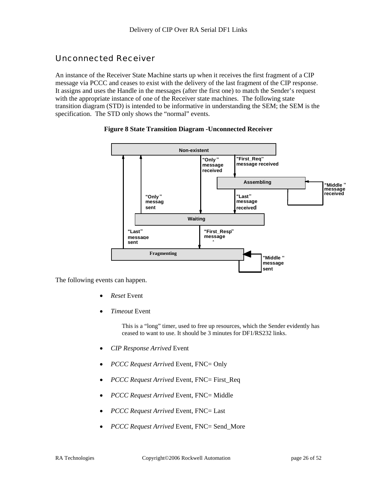# Unconnected Receiver

An instance of the Receiver State Machine starts up when it receives the first fragment of a CIP message via PCCC and ceases to exist with the delivery of the last fragment of the CIP response. It assigns and uses the Handle in the messages (after the first one) to match the Sender's request with the appropriate instance of one of the Receiver state machines. The following state transition diagram (STD) is intended to be informative in understanding the SEM; the SEM is the specification. The STD only shows the "normal" events.





The following events can happen.

- *Reset* Event
- *Timeout* Event

This is a "long" timer, used to free up resources, which the Sender evidently has ceased to want to use. It should be 3 minutes for DF1/RS232 links.

- *CIP Response Arrived* Event
- *PCCC Request Arrive*d Event, FNC= Only
- *PCCC Request Arrived* Event, FNC= First\_Req
- *PCCC Request Arrived* Event, FNC= Middle
- *PCCC Request Arrived* Event, FNC= Last
- *PCCC Request Arrived* Event, FNC= Send\_More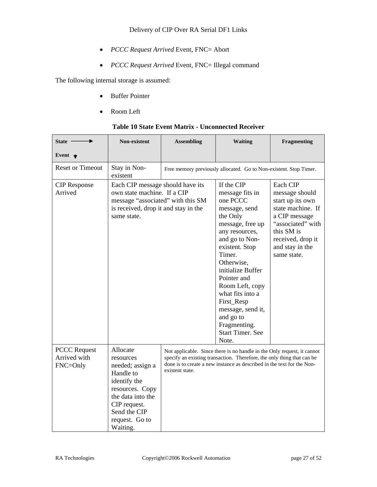- *PCCC Request Arrived* Event, FNC= Abort
- *PCCC Request Arrived* Event, FNC= Illegal command

The following internal storage is assumed:

**State** 

- Buffer Pointer
- Room Left

| Non-existent | <b>Assembling</b> | <b>Waiting</b> | <b>Fragmenting</b> |
|--------------|-------------------|----------------|--------------------|
|              |                   |                |                    |

#### **Table 10 State Event Matrix - Unconnected Receiver**

| Event $\bigstar$                                |                                                                                                                                                                              |                 |                                                                                                                                                                                                                                                                                                                                                         |                                                                                                                                                                                |
|-------------------------------------------------|------------------------------------------------------------------------------------------------------------------------------------------------------------------------------|-----------------|---------------------------------------------------------------------------------------------------------------------------------------------------------------------------------------------------------------------------------------------------------------------------------------------------------------------------------------------------------|--------------------------------------------------------------------------------------------------------------------------------------------------------------------------------|
| <b>Reset or Timeout</b>                         | Stay in Non-<br>existent                                                                                                                                                     |                 | Free memory previously allocated. Go to Non-existent. Stop Timer.                                                                                                                                                                                                                                                                                       |                                                                                                                                                                                |
| <b>CIP</b> Response<br>Arrived                  | Each CIP message should have its<br>own state machine. If a CIP<br>message "associated" with this SM<br>is received, drop it and stay in the<br>same state.                  |                 | If the CIP<br>message fits in<br>one PCCC<br>message, send<br>the Only<br>message, free up<br>any resources,<br>and go to Non-<br>existent. Stop<br>Timer.<br>Otherwise,<br>initialize Buffer<br>Pointer and<br>Room Left, copy<br>what fits into a<br>First_Resp<br>message, send it,<br>and go to<br>Fragmenting.<br><b>Start Timer. See</b><br>Note. | Each CIP<br>message should<br>start up its own<br>state machine. If<br>a CIP message<br>"associated" with<br>this SM is<br>received, drop it<br>and stay in the<br>same state. |
| <b>PCCC</b> Request<br>Arrived with<br>FNC=Only | Allocate<br>resources<br>needed; assign a<br>Handle to<br>identify the<br>resources. Copy<br>the data into the<br>CIP request.<br>Send the CIP<br>request. Go to<br>Waiting. | existent state. | Not applicable. Since there is no handle in the Only request, it cannot<br>specify an existing transaction. Therefore, the only thing that can be<br>done is to create a new instance as described in the text for the Non-                                                                                                                             |                                                                                                                                                                                |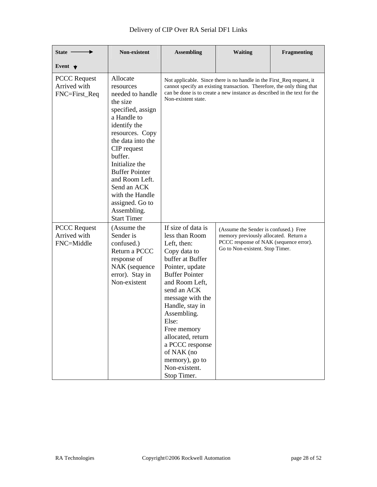| <b>State</b>                                         | <b>Non-existent</b>                                                                                                                                                                                                                                                                                                                | <b>Assembling</b>                                                                                                                                                                                                                                                                                                                                          | <b>Waiting</b>                                                                                                                                                                                                              | Fragmenting |
|------------------------------------------------------|------------------------------------------------------------------------------------------------------------------------------------------------------------------------------------------------------------------------------------------------------------------------------------------------------------------------------------|------------------------------------------------------------------------------------------------------------------------------------------------------------------------------------------------------------------------------------------------------------------------------------------------------------------------------------------------------------|-----------------------------------------------------------------------------------------------------------------------------------------------------------------------------------------------------------------------------|-------------|
| Event $\blacktriangledown$                           |                                                                                                                                                                                                                                                                                                                                    |                                                                                                                                                                                                                                                                                                                                                            |                                                                                                                                                                                                                             |             |
| <b>PCCC</b> Request<br>Arrived with<br>FNC=First_Req | Allocate<br>resources<br>needed to handle<br>the size<br>specified, assign<br>a Handle to<br>identify the<br>resources. Copy<br>the data into the<br>CIP request<br>buffer.<br>Initialize the<br><b>Buffer Pointer</b><br>and Room Left.<br>Send an ACK<br>with the Handle<br>assigned. Go to<br>Assembling.<br><b>Start Timer</b> | Non-existent state.                                                                                                                                                                                                                                                                                                                                        | Not applicable. Since there is no handle in the First_Req request, it<br>cannot specify an existing transaction. Therefore, the only thing that<br>can be done is to create a new instance as described in the text for the |             |
| <b>PCCC</b> Request<br>Arrived with<br>FNC=Middle    | (Assume the<br>Sender is<br>confused.)<br>Return a PCCC<br>response of<br>NAK (sequence<br>error). Stay in<br>Non-existent                                                                                                                                                                                                         | If size of data is<br>less than Room<br>Left, then:<br>Copy data to<br>buffer at Buffer<br>Pointer, update<br><b>Buffer Pointer</b><br>and Room Left.<br>send an ACK<br>message with the<br>Handle, stay in<br>Assembling.<br>Else:<br>Free memory<br>allocated, return<br>a PCCC response<br>of NAK (no<br>memory), go to<br>Non-existent.<br>Stop Timer. | (Assume the Sender is confused.) Free<br>memory previously allocated. Return a<br>PCCC response of NAK (sequence error).<br>Go to Non-existent. Stop Timer.                                                                 |             |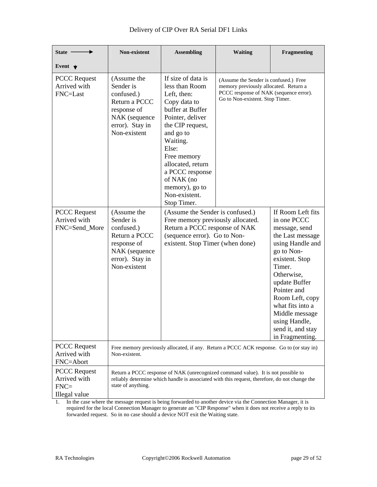| State ·                                                        | <b>Non-existent</b>                                                                                                        | <b>Assembling</b>                                                                                                                                                                                                                                                                        | <b>Waiting</b>                                                                                                                                                                     | Fragmenting                                                                                                                                                                                                                                                                                         |
|----------------------------------------------------------------|----------------------------------------------------------------------------------------------------------------------------|------------------------------------------------------------------------------------------------------------------------------------------------------------------------------------------------------------------------------------------------------------------------------------------|------------------------------------------------------------------------------------------------------------------------------------------------------------------------------------|-----------------------------------------------------------------------------------------------------------------------------------------------------------------------------------------------------------------------------------------------------------------------------------------------------|
| Event $\bigstar$                                               |                                                                                                                            |                                                                                                                                                                                                                                                                                          |                                                                                                                                                                                    |                                                                                                                                                                                                                                                                                                     |
| <b>PCCC</b> Request<br>Arrived with<br>FNC=Last                | (Assume the<br>Sender is<br>confused.)<br>Return a PCCC<br>response of<br>NAK (sequence<br>error). Stay in<br>Non-existent | If size of data is<br>less than Room<br>Left, then:<br>Copy data to<br>buffer at Buffer<br>Pointer, deliver<br>the CIP request,<br>and go to<br>Waiting.<br>Else:<br>Free memory<br>allocated, return<br>a PCCC response<br>of NAK (no<br>memory), go to<br>Non-existent.<br>Stop Timer. | (Assume the Sender is confused.) Free<br>memory previously allocated. Return a<br>PCCC response of NAK (sequence error).<br>Go to Non-existent. Stop Timer.                        |                                                                                                                                                                                                                                                                                                     |
| <b>PCCC</b> Request<br>Arrived with<br>FNC=Send_More           | (Assume the<br>Sender is<br>confused.)<br>Return a PCCC<br>response of<br>NAK (sequence<br>error). Stay in<br>Non-existent | (Assume the Sender is confused.)<br>Free memory previously allocated.<br>Return a PCCC response of NAK<br>(sequence error). Go to Non-<br>existent. Stop Timer (when done)                                                                                                               |                                                                                                                                                                                    | If Room Left fits<br>in one PCCC<br>message, send<br>the Last message<br>using Handle and<br>go to Non-<br>existent. Stop<br>Timer.<br>Otherwise,<br>update Buffer<br>Pointer and<br>Room Left, copy<br>what fits into a<br>Middle message<br>using Handle,<br>send it, and stay<br>in Fragmenting. |
| <b>PCCC</b> Request<br>Arrived with<br>FNC=Abort               | Non-existent.                                                                                                              |                                                                                                                                                                                                                                                                                          | Free memory previously allocated, if any. Return a PCCC ACK response. Go to (or stay in)                                                                                           |                                                                                                                                                                                                                                                                                                     |
| <b>PCCC</b> Request<br>Arrived with<br>$FNC=$<br>Illegal value | state of anything.                                                                                                         |                                                                                                                                                                                                                                                                                          | Return a PCCC response of NAK (unrecognized command value). It is not possible to<br>reliably determine which handle is associated with this request, therefore, do not change the |                                                                                                                                                                                                                                                                                                     |

1. In the case where the message request is being forwarded to another device via the Connection Manager, it is required for the local Connection Manager to generate an "CIP Response" when it does not receive a reply to its forwarded request. So in no case should a device NOT exit the Waiting state.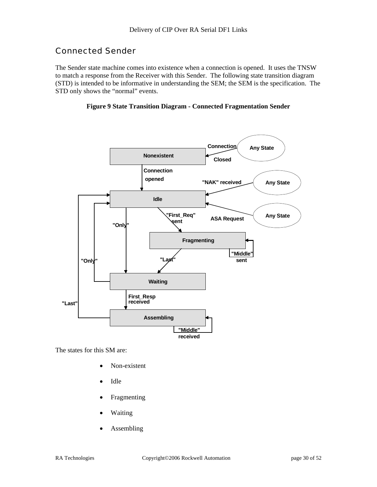# Connected Sender

The Sender state machine comes into existence when a connection is opened. It uses the TNSW to match a response from the Receiver with this Sender. The following state transition diagram (STD) is intended to be informative in understanding the SEM; the SEM is the specification. The STD only shows the "normal" events.

#### **Figure 9 State Transition Diagram - Connected Fragmentation Sender**



The states for this SM are:

- Non-existent
- Idle
- **Fragmenting**
- Waiting
- **Assembling**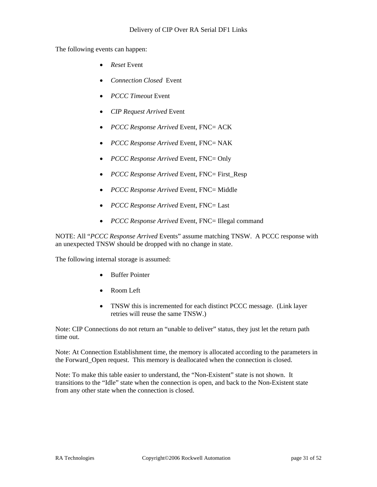The following events can happen:

- *Reset* Event
- *Connection Closed* Event
- *PCCC Timeout* Event
- *CIP Request Arrived* Event
- *PCCC Response Arrived* Event, FNC= ACK
- *PCCC Response Arrived* Event, FNC= NAK
- *PCCC Response Arrived* Event, FNC= Only
- *PCCC Response Arrived* Event, FNC= First\_Resp
- *PCCC Response Arrived* Event, FNC= Middle
- *PCCC Response Arrived* Event, FNC= Last
- *PCCC Response Arrived* Event, FNC= Illegal command

NOTE: All "*PCCC Response Arrived* Events" assume matching TNSW. A PCCC response with an unexpected TNSW should be dropped with no change in state.

The following internal storage is assumed:

- Buffer Pointer
- Room Left
- TNSW this is incremented for each distinct PCCC message. (Link layer retries will reuse the same TNSW.)

Note: CIP Connections do not return an "unable to deliver" status, they just let the return path time out.

Note: At Connection Establishment time, the memory is allocated according to the parameters in the Forward\_Open request. This memory is deallocated when the connection is closed.

Note: To make this table easier to understand, the "Non-Existent" state is not shown. It transitions to the "Idle" state when the connection is open, and back to the Non-Existent state from any other state when the connection is closed.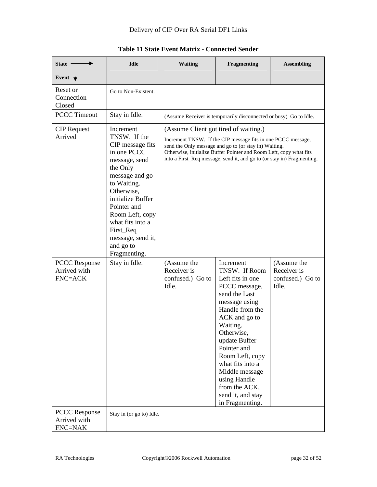| State $-$                                              | <b>Idle</b>                                                                                                                                                                                                                                                                        | <b>Waiting</b>                                                                                                                                                                                                                                                                                                 | Fragmenting                                                                                                                                                                                                                                                                                                                       | <b>Assembling</b>                                       |
|--------------------------------------------------------|------------------------------------------------------------------------------------------------------------------------------------------------------------------------------------------------------------------------------------------------------------------------------------|----------------------------------------------------------------------------------------------------------------------------------------------------------------------------------------------------------------------------------------------------------------------------------------------------------------|-----------------------------------------------------------------------------------------------------------------------------------------------------------------------------------------------------------------------------------------------------------------------------------------------------------------------------------|---------------------------------------------------------|
| Event $\bigstar$                                       |                                                                                                                                                                                                                                                                                    |                                                                                                                                                                                                                                                                                                                |                                                                                                                                                                                                                                                                                                                                   |                                                         |
| Reset or<br>Connection<br>Closed                       | Go to Non-Existent.                                                                                                                                                                                                                                                                |                                                                                                                                                                                                                                                                                                                |                                                                                                                                                                                                                                                                                                                                   |                                                         |
| <b>PCCC Timeout</b>                                    | Stay in Idle.<br>(Assume Receiver is temporarily disconnected or busy) Go to Idle.                                                                                                                                                                                                 |                                                                                                                                                                                                                                                                                                                |                                                                                                                                                                                                                                                                                                                                   |                                                         |
| <b>CIP</b> Request<br>Arrived                          | Increment<br>TNSW. If the<br>CIP message fits<br>in one PCCC<br>message, send<br>the Only<br>message and go<br>to Waiting.<br>Otherwise,<br>initialize Buffer<br>Pointer and<br>Room Left, copy<br>what fits into a<br>First_Req<br>message, send it,<br>and go to<br>Fragmenting. | (Assume Client got tired of waiting.)<br>Increment TNSW. If the CIP message fits in one PCCC message,<br>send the Only message and go to (or stay in) Waiting.<br>Otherwise, initialize Buffer Pointer and Room Left, copy what fits<br>into a First_Req message, send it, and go to (or stay in) Fragmenting. |                                                                                                                                                                                                                                                                                                                                   |                                                         |
| <b>PCCC Response</b><br>Arrived with<br><b>FNC=ACK</b> | Stay in Idle.                                                                                                                                                                                                                                                                      | (Assume the<br>Receiver is<br>confused.) Go to<br>Idle.                                                                                                                                                                                                                                                        | Increment<br>TNSW. If Room<br>Left fits in one<br>PCCC message,<br>send the Last<br>message using<br>Handle from the<br>ACK and go to<br>Waiting.<br>Otherwise,<br>update Buffer<br>Pointer and<br>Room Left, copy<br>what fits into a<br>Middle message<br>using Handle<br>from the ACK,<br>send it, and stay<br>in Fragmenting. | (Assume the<br>Receiver is<br>confused.) Go to<br>Idle. |
| <b>PCCC Response</b><br>Arrived with<br>FNC=NAK        | Stay in (or go to) Idle.                                                                                                                                                                                                                                                           |                                                                                                                                                                                                                                                                                                                |                                                                                                                                                                                                                                                                                                                                   |                                                         |

## **Table 11 State Event Matrix - Connected Sender**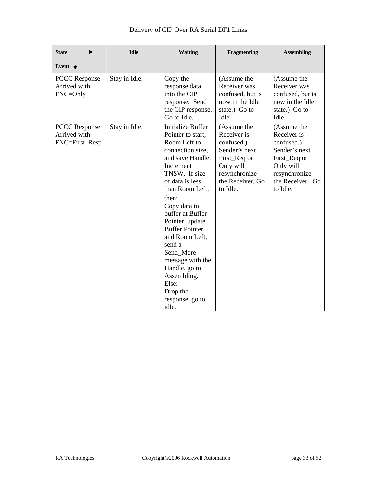| State -                                                | <b>Idle</b>   | <b>Waiting</b>                                                                                                                                                                                                                                                                                                                                                                                            | Fragmenting                                                                                                                             | <b>Assembling</b>                                                                                                                       |
|--------------------------------------------------------|---------------|-----------------------------------------------------------------------------------------------------------------------------------------------------------------------------------------------------------------------------------------------------------------------------------------------------------------------------------------------------------------------------------------------------------|-----------------------------------------------------------------------------------------------------------------------------------------|-----------------------------------------------------------------------------------------------------------------------------------------|
| Event $\bigstar$                                       |               |                                                                                                                                                                                                                                                                                                                                                                                                           |                                                                                                                                         |                                                                                                                                         |
| <b>PCCC</b> Response<br>Arrived with<br>FNC=Only       | Stay in Idle. | Copy the<br>response data<br>into the CIP<br>response. Send<br>the CIP response.<br>Go to Idle.                                                                                                                                                                                                                                                                                                           | (Assume the<br>Receiver was<br>confused, but is<br>now in the Idle<br>state.) Go to<br>Idle.                                            | (Assume the<br>Receiver was<br>confused, but is<br>now in the Idle<br>state.) Go to<br>Idle.                                            |
| <b>PCCC Response</b><br>Arrived with<br>FNC=First_Resp | Stay in Idle. | Initialize Buffer<br>Pointer to start,<br>Room Left to<br>connection size,<br>and save Handle.<br>Increment<br>TNSW. If size<br>of data is less<br>than Room Left,<br>then:<br>Copy data to<br>buffer at Buffer<br>Pointer, update<br><b>Buffer Pointer</b><br>and Room Left,<br>send a<br>Send More<br>message with the<br>Handle, go to<br>Assembling.<br>Else:<br>Drop the<br>response, go to<br>idle. | (Assume the<br>Receiver is<br>confused.)<br>Sender's next<br>First_Req or<br>Only will<br>resynchronize<br>the Receiver. Go<br>to Idle. | (Assume the<br>Receiver is<br>confused.)<br>Sender's next<br>First_Req or<br>Only will<br>resynchronize<br>the Receiver. Go<br>to Idle. |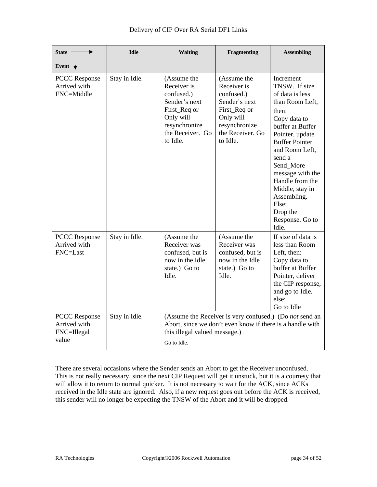| State $-$                                                    | <b>Idle</b>   | <b>Waiting</b>                                                                                                                          | Fragmenting                                                                                                                             | <b>Assembling</b>                                                                                                                                                                                                                                                                                                            |
|--------------------------------------------------------------|---------------|-----------------------------------------------------------------------------------------------------------------------------------------|-----------------------------------------------------------------------------------------------------------------------------------------|------------------------------------------------------------------------------------------------------------------------------------------------------------------------------------------------------------------------------------------------------------------------------------------------------------------------------|
| Event $\bigstar$                                             |               |                                                                                                                                         |                                                                                                                                         |                                                                                                                                                                                                                                                                                                                              |
| <b>PCCC</b> Response<br>Arrived with<br>FNC=Middle           | Stay in Idle. | (Assume the<br>Receiver is<br>confused.)<br>Sender's next<br>First_Req or<br>Only will<br>resynchronize<br>the Receiver. Go<br>to Idle. | (Assume the<br>Receiver is<br>confused.)<br>Sender's next<br>First_Req or<br>Only will<br>resynchronize<br>the Receiver. Go<br>to Idle. | Increment<br>TNSW. If size<br>of data is less<br>than Room Left,<br>then:<br>Copy data to<br>buffer at Buffer<br>Pointer, update<br><b>Buffer Pointer</b><br>and Room Left,<br>send a<br>Send More<br>message with the<br>Handle from the<br>Middle, stay in<br>Assembling.<br>Else:<br>Drop the<br>Response. Go to<br>Idle. |
| <b>PCCC Response</b><br>Arrived with<br>FNC=Last             | Stay in Idle. | (Assume the<br>Receiver was<br>confused, but is<br>now in the Idle<br>state.) Go to<br>Idle.                                            | (Assume the<br>Receiver was<br>confused, but is<br>now in the Idle<br>state.) Go to<br>Idle.                                            | If size of data is<br>less than Room<br>Left, then:<br>Copy data to<br>buffer at Buffer<br>Pointer, deliver<br>the CIP response,<br>and go to Idle.<br>else:<br>Go to Idle                                                                                                                                                   |
| <b>PCCC</b> Response<br>Arrived with<br>FNC=Illegal<br>value | Stay in Idle. | this illegal valued message.)<br>Go to Idle.                                                                                            | (Assume the Receiver is very confused.) (Do not send an<br>Abort, since we don't even know if there is a handle with                    |                                                                                                                                                                                                                                                                                                                              |

There are several occasions where the Sender sends an Abort to get the Receiver unconfused. This is not really necessary, since the next CIP Request will get it unstuck, but it is a courtesy that will allow it to return to normal quicker. It is not necessary to wait for the ACK, since ACKs received in the Idle state are ignored. Also, if a new request goes out before the ACK is received, this sender will no longer be expecting the TNSW of the Abort and it will be dropped.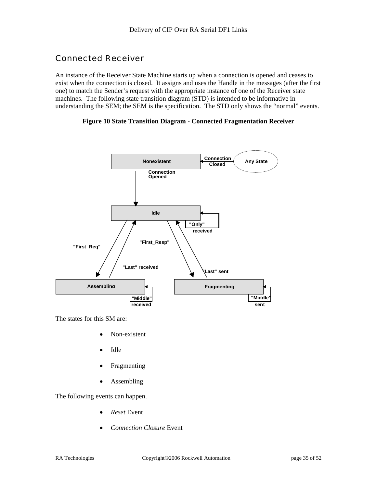# Connected Receiver

An instance of the Receiver State Machine starts up when a connection is opened and ceases to exist when the connection is closed. It assigns and uses the Handle in the messages (after the first one) to match the Sender's request with the appropriate instance of one of the Receiver state machines. The following state transition diagram (STD) is intended to be informative in understanding the SEM; the SEM is the specification. The STD only shows the "normal" events.

#### **Figure 10 State Transition Diagram - Connected Fragmentation Receiver**



The states for this SM are:

- Non-existent
- Idle
- **Fragmenting**
- **Assembling**

The following events can happen.

- *Reset* Event
- *Connection Closure* Event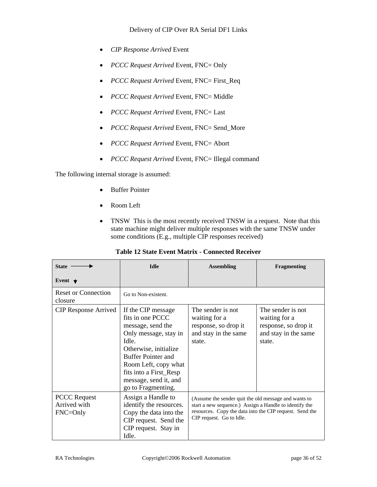- *CIP Response Arrived* Event
- *PCCC Request Arrived Event, FNC= Only*
- *PCCC Request Arrived Event, FNC= First\_Req*
- *PCCC Request Arrived Event, FNC= Middle*
- *PCCC Request Arrived* Event, FNC= Last
- *PCCC Request Arrived* Event, FNC= Send\_More
- *PCCC Request Arrived* Event, FNC= Abort
- *PCCC Request Arrived* Event, FNC= Illegal command

The following internal storage is assumed:

- Buffer Pointer
- Room Left
- TNSW This is the most recently received TNSW in a request. Note that this state machine might deliver multiple responses with the same TNSW under some conditions (E.g., multiple CIP responses received)

| <b>State</b>                                        | <b>Idle</b>                                                                                                                                                                                                                                          | <b>Assembling</b>                                                                                                                                                                                     | <b>Fragmenting</b>                                                                           |
|-----------------------------------------------------|------------------------------------------------------------------------------------------------------------------------------------------------------------------------------------------------------------------------------------------------------|-------------------------------------------------------------------------------------------------------------------------------------------------------------------------------------------------------|----------------------------------------------------------------------------------------------|
| Event $\bigstar$                                    |                                                                                                                                                                                                                                                      |                                                                                                                                                                                                       |                                                                                              |
| <b>Reset or Connection</b><br>closure               | Go to Non-existent.                                                                                                                                                                                                                                  |                                                                                                                                                                                                       |                                                                                              |
| <b>CIP</b> Response Arrived                         | If the CIP message<br>fits in one PCCC<br>message, send the<br>Only message, stay in<br>Idle.<br>Otherwise, initialize<br><b>Buffer Pointer and</b><br>Room Left, copy what<br>fits into a First_Resp<br>message, send it, and<br>go to Fragmenting. | The sender is not<br>waiting for a<br>response, so drop it<br>and stay in the same<br>state.                                                                                                          | The sender is not<br>waiting for a<br>response, so drop it<br>and stay in the same<br>state. |
| <b>PCCC</b> Request<br>Arrived with<br>$FNC = Only$ | Assign a Handle to<br>identify the resources.<br>Copy the data into the<br>CIP request. Send the<br>CIP request. Stay in<br>Idle.                                                                                                                    | (Assume the sender quit the old message and wants to<br>start a new sequence.) Assign a Handle to identify the<br>resources. Copy the data into the CIP request. Send the<br>CIP request. Go to Idle. |                                                                                              |

#### **Table 12 State Event Matrix - Connected Receiver**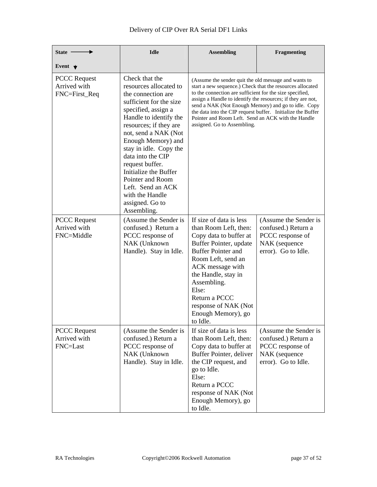| State -                                              | <b>Idle</b>                                                                                                                                                                                                                                                                                                                                                                                                 | <b>Assembling</b><br>Fragmenting                                                                                                                                                                                                                                                                                                                                                                                                                        |                                                                                                          |
|------------------------------------------------------|-------------------------------------------------------------------------------------------------------------------------------------------------------------------------------------------------------------------------------------------------------------------------------------------------------------------------------------------------------------------------------------------------------------|---------------------------------------------------------------------------------------------------------------------------------------------------------------------------------------------------------------------------------------------------------------------------------------------------------------------------------------------------------------------------------------------------------------------------------------------------------|----------------------------------------------------------------------------------------------------------|
| Event $\blacktriangledown$                           |                                                                                                                                                                                                                                                                                                                                                                                                             |                                                                                                                                                                                                                                                                                                                                                                                                                                                         |                                                                                                          |
| <b>PCCC</b> Request<br>Arrived with<br>FNC=First_Req | Check that the<br>resources allocated to<br>the connection are<br>sufficient for the size<br>specified, assign a<br>Handle to identify the<br>resources; if they are<br>not, send a NAK (Not<br>Enough Memory) and<br>stay in idle. Copy the<br>data into the CIP<br>request buffer.<br>Initialize the Buffer<br>Pointer and Room<br>Left. Send an ACK<br>with the Handle<br>assigned. Go to<br>Assembling. | (Assume the sender quit the old message and wants to<br>start a new sequence.) Check that the resources allocated<br>to the connection are sufficient for the size specified,<br>assign a Handle to identify the resources; if they are not,<br>send a NAK (Not Enough Memory) and go to idle. Copy<br>the data into the CIP request buffer. Initialize the Buffer<br>Pointer and Room Left. Send an ACK with the Handle<br>assigned. Go to Assembling. |                                                                                                          |
| <b>PCCC</b> Request<br>Arrived with<br>FNC=Middle    | (Assume the Sender is<br>confused.) Return a<br>PCCC response of<br>NAK (Unknown<br>Handle). Stay in Idle.                                                                                                                                                                                                                                                                                                  | If size of data is less<br>than Room Left, then:<br>Copy data to buffer at<br>Buffer Pointer, update<br><b>Buffer Pointer and</b><br>Room Left, send an<br>ACK message with<br>the Handle, stay in<br>Assembling.<br>Else:<br>Return a PCCC<br>response of NAK (Not<br>Enough Memory), go<br>to Idle.                                                                                                                                                   | (Assume the Sender is<br>confused.) Return a<br>PCCC response of<br>NAK (sequence<br>error). Go to Idle. |
| <b>PCCC</b> Request<br>Arrived with<br>FNC=Last      | (Assume the Sender is<br>confused.) Return a<br>PCCC response of<br>NAK (Unknown<br>Handle). Stay in Idle.                                                                                                                                                                                                                                                                                                  | If size of data is less<br>than Room Left, then:<br>Copy data to buffer at<br>Buffer Pointer, deliver<br>the CIP request, and<br>go to Idle.<br>Else:<br>Return a PCCC<br>response of NAK (Not<br>Enough Memory), go<br>to Idle.                                                                                                                                                                                                                        | (Assume the Sender is<br>confused.) Return a<br>PCCC response of<br>NAK (sequence<br>error). Go to Idle. |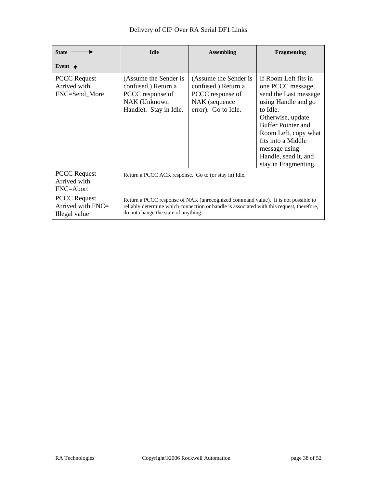| <b>State</b>                                                 | <b>Idle</b>                                                                                                                                                                                                            | <b>Assembling</b>                                                                                        | Fragmenting                                                                                                                                                                                                                                                            |
|--------------------------------------------------------------|------------------------------------------------------------------------------------------------------------------------------------------------------------------------------------------------------------------------|----------------------------------------------------------------------------------------------------------|------------------------------------------------------------------------------------------------------------------------------------------------------------------------------------------------------------------------------------------------------------------------|
| Event $\bigstar$                                             |                                                                                                                                                                                                                        |                                                                                                          |                                                                                                                                                                                                                                                                        |
| <b>PCCC Request</b><br>Arrived with<br>FNC=Send More         | (Assume the Sender is<br>confused.) Return a<br>PCCC response of<br>NAK (Unknown<br>Handle). Stay in Idle.                                                                                                             | (Assume the Sender is<br>confused.) Return a<br>PCCC response of<br>NAK (sequence<br>error). Go to Idle. | If Room Left fits in<br>one PCCC message,<br>send the Last message<br>using Handle and go<br>to Idle.<br>Otherwise, update<br><b>Buffer Pointer and</b><br>Room Left, copy what<br>fits into a Middle<br>message using<br>Handle, send it, and<br>stay in Fragmenting. |
| <b>PCCC</b> Request<br>Arrived with<br>FNC=Abort             | Return a PCCC ACK response. Go to (or stay in) Idle.                                                                                                                                                                   |                                                                                                          |                                                                                                                                                                                                                                                                        |
| <b>PCCC Request</b><br>Arrived with $FNC =$<br>Illegal value | Return a PCCC response of NAK (unrecognized command value). It is not possible to<br>reliably determine which connection or handle is associated with this request, therefore,<br>do not change the state of anything. |                                                                                                          |                                                                                                                                                                                                                                                                        |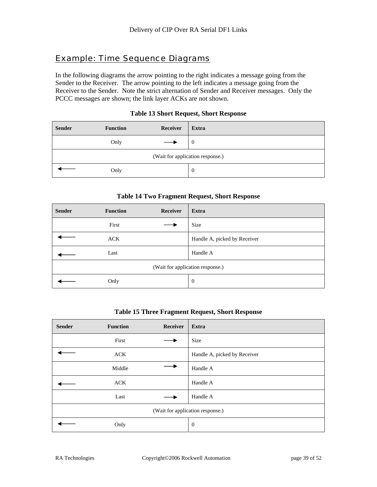# Example: Time Sequence Diagrams

In the following diagrams the arrow pointing to the right indicates a message going from the Sender to the Receiver. The arrow pointing to the left indicates a message going from the Receiver to the Sender. Note the strict alternation of Sender and Receiver messages. Only the PCCC messages are shown; the link layer ACKs are not shown.

| <b>Sender</b>                    | <b>Function</b> | Receiver | Extra |
|----------------------------------|-----------------|----------|-------|
|                                  | Only            |          | v     |
| (Wait for application response.) |                 |          |       |
|                                  | Only            |          | 0     |

#### **Table 13 Short Request, Short Response**

#### **Table 14 Two Fragment Request, Short Response**

| <b>Sender</b>                    | <b>Function</b> | Receiver | <b>Extra</b>                 |
|----------------------------------|-----------------|----------|------------------------------|
|                                  | First           |          | Size                         |
|                                  | ACK             |          | Handle A, picked by Receiver |
|                                  | Last            |          | Handle A                     |
| (Wait for application response.) |                 |          |                              |
|                                  | Only            |          | $\boldsymbol{0}$             |

#### **Table 15 Three Fragment Request, Short Response**

| <b>Sender</b>                    | <b>Function</b> | Receiver | Extra                        |
|----------------------------------|-----------------|----------|------------------------------|
|                                  | First           |          | Size                         |
|                                  | ACK             |          | Handle A, picked by Receiver |
|                                  | Middle          |          | Handle A                     |
|                                  | <b>ACK</b>      |          | Handle A                     |
|                                  | Last            |          | Handle A                     |
| (Wait for application response.) |                 |          |                              |
|                                  | Only            |          | $\boldsymbol{0}$             |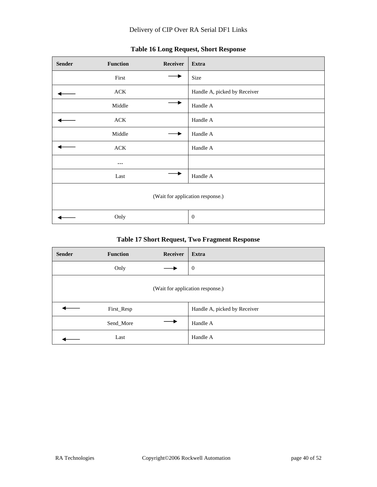| <b>Sender</b>                    | <b>Function</b> | Receiver | Extra                        |
|----------------------------------|-----------------|----------|------------------------------|
|                                  | First           |          | Size                         |
|                                  | ${\rm ACK}$     |          | Handle A, picked by Receiver |
|                                  | Middle          |          | Handle A                     |
|                                  | ${\rm ACK}$     |          | Handle A                     |
|                                  | Middle          |          | Handle A                     |
|                                  | ACK             |          | Handle A                     |
|                                  | $\cdots$        |          |                              |
|                                  | Last            |          | Handle A                     |
| (Wait for application response.) |                 |          |                              |
|                                  | Only            |          | $\mathbf{0}$                 |

# **Table 16 Long Request, Short Response**

## **Table 17 Short Request, Two Fragment Response**

| <b>Sender</b>                    | <b>Function</b> | <b>Receiver</b> | Extra                        |
|----------------------------------|-----------------|-----------------|------------------------------|
|                                  | Only            |                 | $\mathbf{0}$                 |
| (Wait for application response.) |                 |                 |                              |
|                                  | First_Resp      |                 | Handle A, picked by Receiver |
|                                  | Send_More       |                 | Handle A                     |
|                                  | Last            |                 | Handle A                     |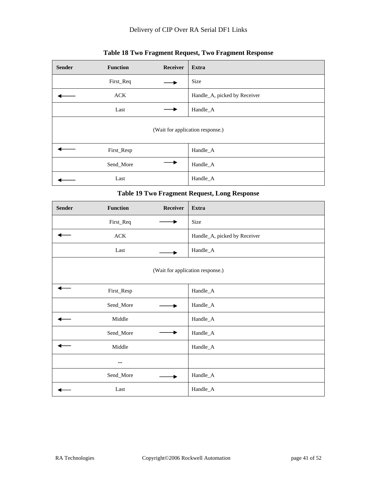| <b>Sender</b>                    | <b>Function</b> | Receiver | Extra                        |
|----------------------------------|-----------------|----------|------------------------------|
|                                  | First_Req       |          | Size                         |
|                                  | <b>ACK</b>      |          | Handle_A, picked by Receiver |
|                                  | Last            |          | Handle_A                     |
| (Wait for application response.) |                 |          |                              |
|                                  | First_Resp      |          | Handle_A                     |
|                                  | Send_More       |          | Handle_A                     |
|                                  | Last            |          | Handle_A                     |

## **Table 18 Two Fragment Request, Two Fragment Response**

#### **Table 19 Two Fragment Request, Long Response**

| <b>Sender</b> | Function    | Receiver | Extra                            |
|---------------|-------------|----------|----------------------------------|
|               | First_Req   |          | Size                             |
|               | ${\rm ACK}$ |          | Handle_A, picked by Receiver     |
|               | Last        |          | Handle_A                         |
|               |             |          | (Wait for application response.) |
|               | First_Resp  |          | Handle_A                         |
|               | Send_More   |          | Handle_A                         |
|               | Middle      |          | Handle_A                         |
|               | Send_More   |          | Handle_A                         |
|               | Middle      |          | Handle_A                         |
|               | $\cdots$    |          |                                  |
|               | Send_More   |          | Handle_A                         |
|               | Last        |          | Handle_A                         |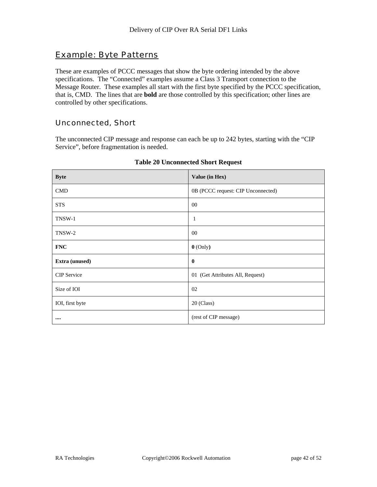# Example: Byte Patterns

These are examples of PCCC messages that show the byte ordering intended by the above specifications. The "Connected" examples assume a Class 3 Transport connection to the Message Router. These examples all start with the first byte specified by the PCCC specification, that is, CMD. The lines that are **bold** are those controlled by this specification; other lines are controlled by other specifications.

## Unconnected, Short

The unconnected CIP message and response can each be up to 242 bytes, starting with the "CIP Service", before fragmentation is needed.

| <b>Byte</b>        | Value (in Hex)                     |
|--------------------|------------------------------------|
| <b>CMD</b>         | 0B (PCCC request: CIP Unconnected) |
| <b>STS</b>         | $00\,$                             |
| TNSW-1             | 1                                  |
| TNSW-2             | $00\,$                             |
| <b>FNC</b>         | $0$ (Only)                         |
| Extra (unused)     | $\mathbf{0}$                       |
| <b>CIP</b> Service | 01 (Get Attributes All, Request)   |
| Size of IOI        | 02                                 |
| IOI, first byte    | 20 (Class)                         |
|                    | (rest of CIP message)              |

#### **Table 20 Unconnected Short Request**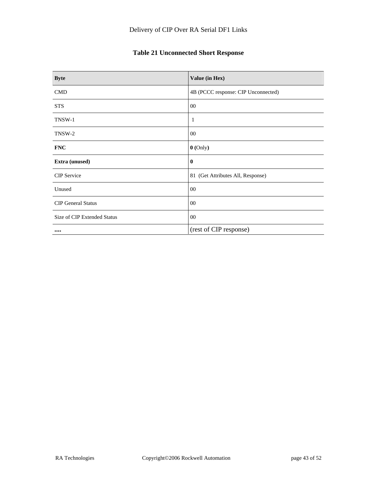# **Table 21 Unconnected Short Response**

| <b>Byte</b>                    | Value (in Hex)                      |
|--------------------------------|-------------------------------------|
| <b>CMD</b>                     | 4B (PCCC response: CIP Unconnected) |
| <b>STS</b>                     | $00\,$                              |
| TNSW-1                         | 1                                   |
| TNSW-2                         | $00\,$                              |
| <b>FNC</b>                     | $0$ (Only)                          |
| Extra (unused)                 | $\bf{0}$                            |
| <b>CIP</b> Service             | 81 (Get Attributes All, Response)   |
| Unused                         | $00\,$                              |
| <b>CIP</b> General Status      | $00\,$                              |
| Size of CIP Extended Status    | 00                                  |
| $\bullet\bullet\bullet\bullet$ | (rest of CIP response)              |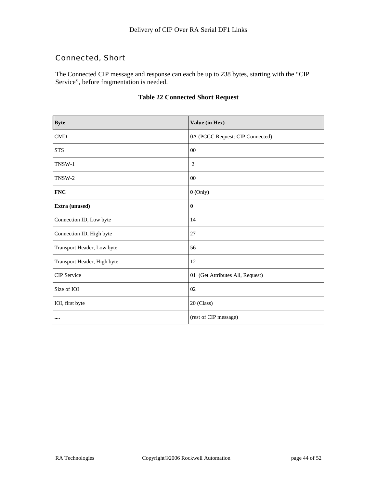## Connected, Short

The Connected CIP message and response can each be up to 238 bytes, starting with the "CIP Service", before fragmentation is needed.

| <b>Byte</b>                 | Value (in Hex)                   |
|-----------------------------|----------------------------------|
| <b>CMD</b>                  | 0A (PCCC Request: CIP Connected) |
| <b>STS</b>                  | 00                               |
| TNSW-1                      | $\overline{2}$                   |
| TNSW-2                      | 00                               |
| <b>FNC</b>                  | $0$ (Only)                       |
| Extra (unused)              | $\bf{0}$                         |
| Connection ID, Low byte     | 14                               |
| Connection ID, High byte    | 27                               |
| Transport Header, Low byte  | 56                               |
| Transport Header, High byte | 12                               |
| <b>CIP</b> Service          | 01 (Get Attributes All, Request) |
| Size of IOI                 | 02                               |
| IOI, first byte             | 20 (Class)                       |
|                             | (rest of CIP message)            |

## **Table 22 Connected Short Request**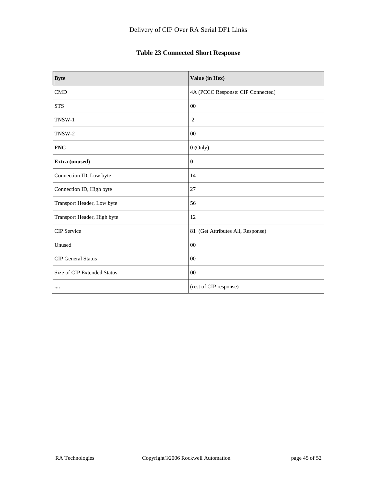# **Table 23 Connected Short Response**

| <b>Byte</b>                 | Value (in Hex)                    |
|-----------------------------|-----------------------------------|
| <b>CMD</b>                  | 4A (PCCC Response: CIP Connected) |
| <b>STS</b>                  | $00\,$                            |
| TNSW-1                      | 2                                 |
| TNSW-2                      | $00\,$                            |
| <b>FNC</b>                  | $0$ (Only)                        |
| Extra (unused)              | $\bf{0}$                          |
| Connection ID, Low byte     | 14                                |
| Connection ID, High byte    | 27                                |
| Transport Header, Low byte  | 56                                |
| Transport Header, High byte | 12                                |
| <b>CIP</b> Service          | 81 (Get Attributes All, Response) |
| Unused                      | 00                                |
| <b>CIP</b> General Status   | $00\,$                            |
| Size of CIP Extended Status | $00\,$                            |
|                             | (rest of CIP response)            |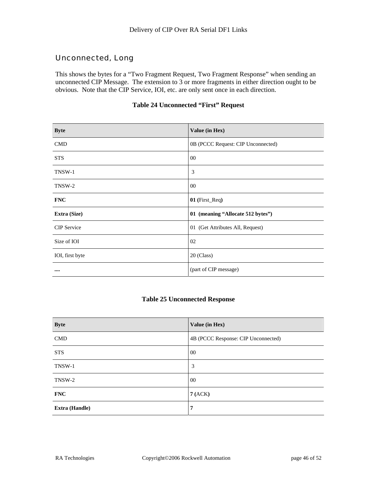## Unconnected, Long

This shows the bytes for a "Two Fragment Request, Two Fragment Response" when sending an unconnected CIP Message. The extension to 3 or more fragments in either direction ought to be obvious. Note that the CIP Service, IOI, etc. are only sent once in each direction.

| <b>Byte</b>        | Value (in Hex)                     |
|--------------------|------------------------------------|
| <b>CMD</b>         | 0B (PCCC Request: CIP Unconnected) |
| <b>STS</b>         | $00\,$                             |
| TNSW-1             | 3                                  |
| TNSW-2             | $00\,$                             |
| <b>FNC</b>         | 01 (First_Req)                     |
| Extra (Size)       | 01 (meaning "Allocate 512 bytes")  |
| <b>CIP</b> Service | 01 (Get Attributes All, Request)   |
| Size of IOI        | 02                                 |
| IOI, first byte    | 20 (Class)                         |
| $\cdots$           | (part of CIP message)              |

#### **Table 24 Unconnected "First" Request**

#### **Table 25 Unconnected Response**

| <b>Byte</b>           | Value (in Hex)                      |
|-----------------------|-------------------------------------|
| <b>CMD</b>            | 4B (PCCC Response: CIP Unconnected) |
| <b>STS</b>            | 00                                  |
| TNSW-1                | 3                                   |
| TNSW-2                | 00                                  |
| <b>FNC</b>            | 7(ACK)                              |
| <b>Extra (Handle)</b> | 7                                   |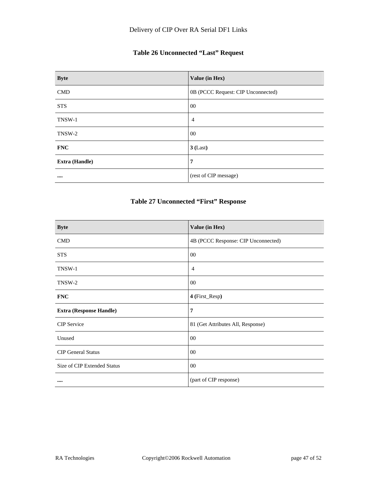## **Table 26 Unconnected "Last" Request**

| <b>Byte</b>           | Value (in Hex)                     |
|-----------------------|------------------------------------|
| <b>CMD</b>            | 0B (PCCC Request: CIP Unconnected) |
| <b>STS</b>            | $00\,$                             |
| TNSW-1                | $\overline{4}$                     |
| TNSW-2                | $00\,$                             |
| <b>FNC</b>            | $3$ (Last)                         |
| <b>Extra (Handle)</b> | 7                                  |
|                       | (rest of CIP message)              |

## **Table 27 Unconnected "First" Response**

| <b>Byte</b>                    | Value (in Hex)                      |
|--------------------------------|-------------------------------------|
| <b>CMD</b>                     | 4B (PCCC Response: CIP Unconnected) |
| <b>STS</b>                     | 00                                  |
| TNSW-1                         | 4                                   |
| TNSW-2                         | $00\,$                              |
| <b>FNC</b>                     | 4 (First_Resp)                      |
| <b>Extra (Response Handle)</b> | $\overline{7}$                      |
| <b>CIP</b> Service             | 81 (Get Attributes All, Response)   |
| Unused                         | $00\,$                              |
| <b>CIP</b> General Status      | 00                                  |
| Size of CIP Extended Status    | $00\,$                              |
|                                | (part of CIP response)              |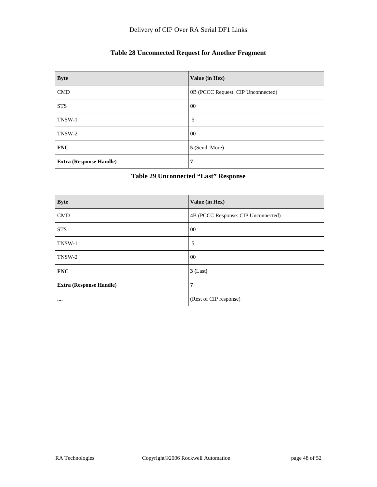## **Table 28 Unconnected Request for Another Fragment**

| <b>Byte</b>                    | Value (in Hex)                     |
|--------------------------------|------------------------------------|
| <b>CMD</b>                     | 0B (PCCC Request: CIP Unconnected) |
| <b>STS</b>                     | 00                                 |
| TNSW-1                         | 5                                  |
| TNSW-2                         | 00                                 |
| <b>FNC</b>                     | 5 (Send_More)                      |
| <b>Extra (Response Handle)</b> | 7                                  |

#### **Table 29 Unconnected "Last" Response**

| <b>Byte</b>                    | Value (in Hex)                      |
|--------------------------------|-------------------------------------|
| <b>CMD</b>                     | 4B (PCCC Response: CIP Unconnected) |
| <b>STS</b>                     | $00\,$                              |
| TNSW-1                         | 5                                   |
| TNSW-2                         | $00\,$                              |
| <b>FNC</b>                     | $3$ (Last)                          |
| <b>Extra (Response Handle)</b> | 7                                   |
|                                | (Rest of CIP response)              |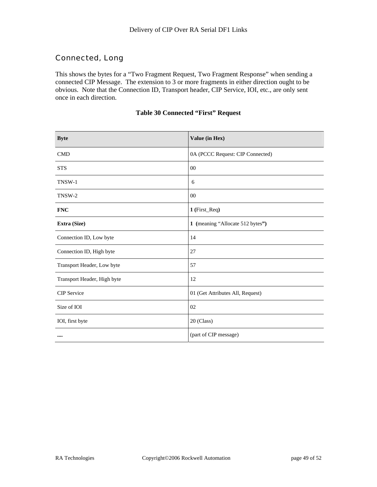## Connected, Long

This shows the bytes for a "Two Fragment Request, Two Fragment Response" when sending a connected CIP Message. The extension to 3 or more fragments in either direction ought to be obvious. Note that the Connection ID, Transport header, CIP Service, IOI, etc., are only sent once in each direction.

| <b>Byte</b>                 | Value (in Hex)                   |
|-----------------------------|----------------------------------|
| <b>CMD</b>                  | 0A (PCCC Request: CIP Connected) |
| <b>STS</b>                  | 00                               |
| TNSW-1                      | 6                                |
| TNSW-2                      | 00                               |
| <b>FNC</b>                  | 1 (First_Req)                    |
| Extra (Size)                | 1 (meaning "Allocate 512 bytes") |
| Connection ID, Low byte     | 14                               |
| Connection ID, High byte    | 27                               |
| Transport Header, Low byte  | 57                               |
| Transport Header, High byte | 12                               |
| CIP Service                 | 01 (Get Attributes All, Request) |
| Size of IOI                 | 02                               |
| IOI, first byte             | 20 (Class)                       |
|                             | (part of CIP message)            |

#### **Table 30 Connected "First" Request**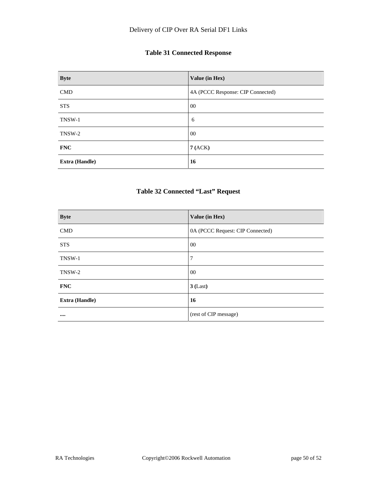## **Table 31 Connected Response**

| <b>Byte</b>           | Value (in Hex)                    |
|-----------------------|-----------------------------------|
| <b>CMD</b>            | 4A (PCCC Response: CIP Connected) |
| <b>STS</b>            | $00\,$                            |
| TNSW-1                | 6                                 |
| TNSW-2                | $00\,$                            |
| <b>FNC</b>            | 7(ACK)                            |
| <b>Extra (Handle)</b> | 16                                |

## **Table 32 Connected "Last" Request**

| <b>Byte</b>           | Value (in Hex)                   |
|-----------------------|----------------------------------|
| <b>CMD</b>            | 0A (PCCC Request: CIP Connected) |
| <b>STS</b>            | $00\,$                           |
| TNSW-1                | 7                                |
| TNSW-2                | $00\,$                           |
| <b>FNC</b>            | $3$ (Last)                       |
| <b>Extra (Handle)</b> | 16                               |
|                       | (rest of CIP message)            |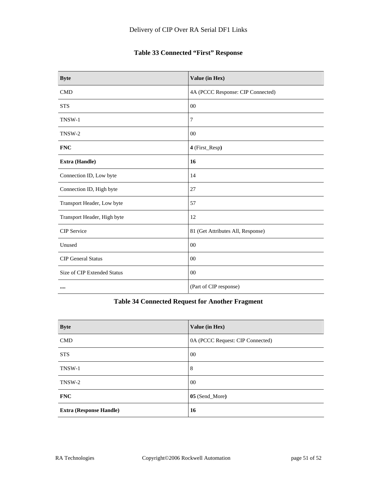## **Table 33 Connected "First" Response**

| <b>Byte</b>                 | Value (in Hex)                    |
|-----------------------------|-----------------------------------|
| <b>CMD</b>                  | 4A (PCCC Response: CIP Connected) |
| <b>STS</b>                  | $00\,$                            |
| TNSW-1                      | 7                                 |
| TNSW-2                      | $00\,$                            |
| <b>FNC</b>                  | 4 (First_Resp)                    |
| Extra (Handle)              | 16                                |
| Connection ID, Low byte     | 14                                |
| Connection ID, High byte    | 27                                |
| Transport Header, Low byte  | 57                                |
| Transport Header, High byte | 12                                |
| <b>CIP</b> Service          | 81 (Get Attributes All, Response) |
| Unused                      | 00                                |
| <b>CIP</b> General Status   | 00                                |
| Size of CIP Extended Status | $00\,$                            |
|                             | (Part of CIP response)            |

## **Table 34 Connected Request for Another Fragment**

| <b>Byte</b>                    | Value (in Hex)                   |
|--------------------------------|----------------------------------|
| <b>CMD</b>                     | 0A (PCCC Request: CIP Connected) |
| <b>STS</b>                     | $00\,$                           |
| TNSW-1                         | 8                                |
| TNSW-2                         | $00\,$                           |
| <b>FNC</b>                     | 05 (Send_More)                   |
| <b>Extra (Response Handle)</b> | 16                               |